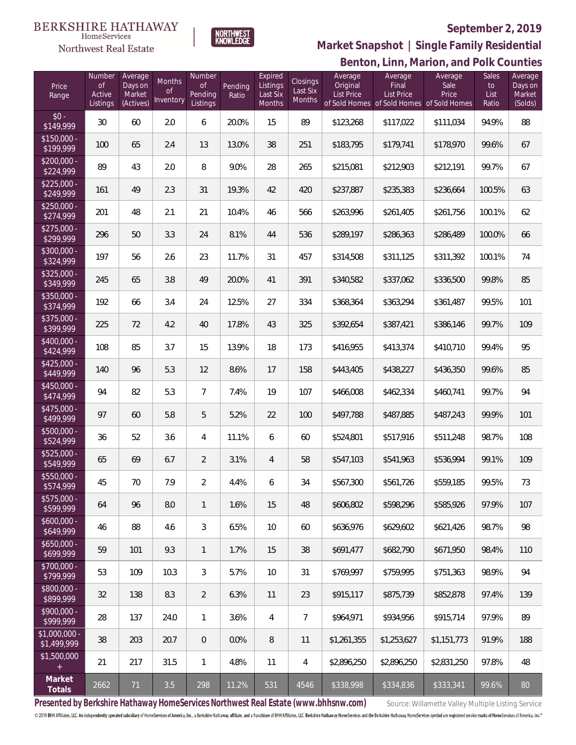#### **BERKSHIRE HATHAWAY**  $\label{lem:sevices} \textsc{Home} \textsc{Service} \textsc{s}$

Northwest Real Estate



### **September 2, 2019**

**Benton, Linn, Marion, and Polk Counties Market Snapshot | Single Family Residential**

| Price<br>Range                | Number<br><b>of</b><br>Active<br>Listings | Average<br>Days on<br>Market<br>(Actives) | Months<br>0f<br>Inventory | Number<br>0f<br>Pending<br>Listings | Pending<br>Ratio | Expired<br>Listings<br>Last Six<br>Months | Closings<br>Last Six<br>Months | Average<br>Original<br><b>List Price</b> | Average<br>Final<br><b>List Price</b><br>of Sold Homes of Sold Homes of Sold Homes | Average<br>Sale<br>Price | Sales<br>to<br>List<br>Ratio | Average<br>Days on<br>Market<br>(Solds) |
|-------------------------------|-------------------------------------------|-------------------------------------------|---------------------------|-------------------------------------|------------------|-------------------------------------------|--------------------------------|------------------------------------------|------------------------------------------------------------------------------------|--------------------------|------------------------------|-----------------------------------------|
| $$0 -$<br>\$149,999           | 30                                        | 60                                        | 2.0                       | 6                                   | 20.0%            | 15                                        | 89                             | \$123,268                                | \$117,022                                                                          | \$111,034                | 94.9%                        | 88                                      |
| $$150,000 -$<br>\$199,999     | 100                                       | 65                                        | 2.4                       | 13                                  | 13.0%            | 38                                        | 251                            | \$183,795                                | \$179,741                                                                          | \$178,970                | 99.6%                        | 67                                      |
| $$200,000 -$<br>\$224,999     | 89                                        | 43                                        | 2.0                       | 8                                   | 9.0%             | 28                                        | 265                            | \$215,081                                | \$212,903                                                                          | \$212,191                | 99.7%                        | 67                                      |
| $$225,000 -$<br>\$249,999     | 161                                       | 49                                        | 2.3                       | 31                                  | 19.3%            | 42                                        | 420                            | \$237,887                                | \$235,383                                                                          | \$236,664                | 100.5%                       | 63                                      |
| $$250,000 -$<br>\$274,999     | 201                                       | 48                                        | 2.1                       | 21                                  | 10.4%            | 46                                        | 566                            | \$263,996                                | \$261,405                                                                          | \$261,756                | 100.1%                       | 62                                      |
| $$275,000 -$<br>\$299,999     | 296                                       | 50                                        | 3.3                       | 24                                  | 8.1%             | 44                                        | 536                            | \$289,197                                | \$286,363                                                                          | \$286,489                | 100.0%                       | 66                                      |
| $$300,000 -$<br>\$324,999     | 197                                       | 56                                        | 2.6                       | 23                                  | 11.7%            | 31                                        | 457                            | \$314,508                                | \$311,125                                                                          | \$311,392                | 100.1%                       | 74                                      |
| $$325,000 -$<br>\$349,999     | 245                                       | 65                                        | 3.8                       | 49                                  | 20.0%            | 41                                        | 391                            | \$340,582                                | \$337,062                                                                          | \$336,500                | 99.8%                        | 85                                      |
| $$350,000 -$<br>\$374,999     | 192                                       | 66                                        | 3.4                       | 24                                  | 12.5%            | 27                                        | 334                            | \$368,364                                | \$363,294                                                                          | \$361,487                | 99.5%                        | 101                                     |
| $$375,000 -$<br>\$399,999     | 225                                       | 72                                        | 4.2                       | 40                                  | 17.8%            | 43                                        | 325                            | \$392,654                                | \$387,421                                                                          | \$386,146                | 99.7%                        | 109                                     |
| $$400.000 -$<br>\$424,999     | 108                                       | 85                                        | 3.7                       | 15                                  | 13.9%            | 18                                        | 173                            | \$416,955                                | \$413,374                                                                          | \$410,710                | 99.4%                        | 95                                      |
| $$425,000 -$<br>\$449,999     | 140                                       | 96                                        | 5.3                       | 12                                  | 8.6%             | 17                                        | 158                            | \$443,405                                | \$438,227                                                                          | \$436,350                | 99.6%                        | 85                                      |
| $$450,000 -$<br>\$474,999     | 94                                        | 82                                        | 5.3                       | $\overline{7}$                      | 7.4%             | 19                                        | 107                            | \$466,008                                | \$462,334                                                                          | \$460,741                | 99.7%                        | 94                                      |
| $$475,000 -$<br>\$499,999     | 97                                        | 60                                        | 5.8                       | 5                                   | 5.2%             | 22                                        | 100                            | \$497,788                                | \$487,885                                                                          | \$487,243                | 99.9%                        | 101                                     |
| $$500,000 -$<br>\$524,999     | 36                                        | 52                                        | 3.6                       | $\overline{4}$                      | 11.1%            | 6                                         | 60                             | \$524,801                                | \$517,916                                                                          | \$511,248                | 98.7%                        | 108                                     |
| $$525,000 -$<br>\$549,999     | 65                                        | 69                                        | 6.7                       | $\overline{2}$                      | 3.1%             | 4                                         | 58                             | \$547,103                                | \$541,963                                                                          | \$536,994                | 99.1%                        | 109                                     |
| \$550,000 -<br>\$574,999      | 45                                        | 70                                        | 7.9                       | $\overline{2}$                      | 4.4%             | 6                                         | 34                             | \$567,300                                | \$561,726                                                                          | \$559,185                | 99.5%                        | 73                                      |
| $$575,000 -$<br>\$599,999     | 64                                        | 96                                        | 8.0                       | $\mathbf{1}$                        | 1.6%             | 15                                        | 48                             | \$606,802                                | \$598,296                                                                          | \$585,926                | 97.9%                        | 107                                     |
| $$600,000 -$<br>\$649,999     | 46                                        | 88                                        | 4.6                       | 3                                   | 6.5%             | 10                                        | 60                             | \$636,976                                | \$629,602                                                                          | \$621,426                | 98.7%                        | 98                                      |
| $$650,000 -$<br>\$699,999     | 59                                        | 101                                       | 9.3                       | $\mathbf{1}$                        | 1.7%             | 15                                        | 38                             | \$691,477                                | \$682.790                                                                          | \$671,950                | 98.4%                        | 110                                     |
| \$700,000 -<br>\$799,999      | 53                                        | 109                                       | 10.3                      | 3                                   | 5.7%             | 10                                        | 31                             | \$769,997                                | \$759,995                                                                          | \$751,363                | 98.9%                        | 94                                      |
| \$800,000 -<br>\$899,999      | 32                                        | 138                                       | 8.3                       | $\overline{2}$                      | 6.3%             | 11                                        | 23                             | \$915,117                                | \$875,739                                                                          | \$852,878                | 97.4%                        | 139                                     |
| $$900,000 -$<br>\$999,999     | 28                                        | 137                                       | 24.0                      | $\mathbf{1}$                        | 3.6%             | $\overline{4}$                            | $\overline{7}$                 | \$964,971                                | \$934,956                                                                          | \$915,714                | 97.9%                        | 89                                      |
| $$1,000,000$ -<br>\$1,499,999 | 38                                        | 203                                       | 20.7                      | $\theta$                            | 0.0%             | 8                                         | 11                             | \$1,261,355                              | \$1,253,627                                                                        | \$1,151,773              | 91.9%                        | 188                                     |
| \$1,500,000                   | 21                                        | 217                                       | 31.5                      | $\mathbf{1}$                        | 4.8%             | 11                                        | 4                              | \$2,896,250                              | \$2,896,250                                                                        | \$2,831,250              | 97.8%                        | 48                                      |
| Market<br>Totals              | 2662                                      | 71                                        | 3.5                       | 298                                 | 11.2%            | 531                                       | 4546                           | \$338,998                                | \$334,836                                                                          | \$333,341                | 99.6%                        | 80                                      |

Presented by Berkshire Hathaway HomeServices Northwest Real Estate (www.bhhsnw.com) source: Willamette Valley Multiple Listing Service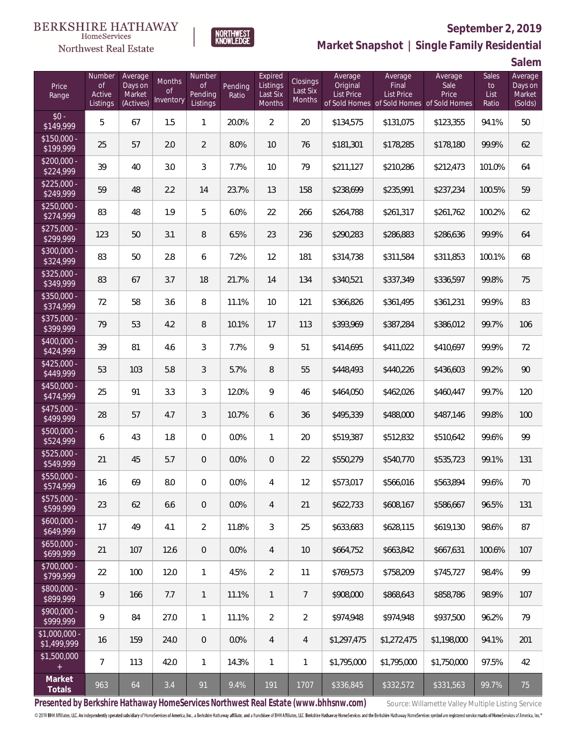#### BERKSHIRE HATHAWAY  $\label{lem:sevices} \textsc{Home} \textsc{Service} \textsc{s}$

## Northwest Real Estate



# **September 2, 2019**

**Market Snapshot | Single Family Residential**

**Salem**

| Price<br>Range               | Number<br><b>of</b><br>Active<br>Listings | Average<br>Days on<br>Market<br>(Actives) | Months<br><b>of</b><br>Inventory | Number<br><b>of</b><br>Pending<br>Listings | Pending<br>Ratio | Expired<br>Listings<br>Last Six<br>Months | Closings<br>Last Six<br>Months | Average<br>Original<br><b>List Price</b> | Average<br>Final<br><b>List Price</b><br>of Sold Homes of Sold Homes of Sold Homes | Average<br>Sale<br>Price | Sales<br>to<br>List<br>Ratio | Average<br>Days on<br>Market<br>(Solds) |
|------------------------------|-------------------------------------------|-------------------------------------------|----------------------------------|--------------------------------------------|------------------|-------------------------------------------|--------------------------------|------------------------------------------|------------------------------------------------------------------------------------|--------------------------|------------------------------|-----------------------------------------|
| $$0 -$<br>\$149,999          | 5                                         | 67                                        | 1.5                              | 1                                          | 20.0%            | $\overline{2}$                            | $20\,$                         | \$134,575                                | \$131,075                                                                          | \$123,355                | 94.1%                        | 50                                      |
| $$150,000 -$<br>\$199,999    | 25                                        | 57                                        | 2.0                              | $\overline{2}$                             | 8.0%             | 10                                        | 76                             | \$181,301                                | \$178,285                                                                          | \$178,180                | 99.9%                        | 62                                      |
| $$200,000 -$<br>\$224,999    | 39                                        | 40                                        | 3.0                              | 3                                          | 7.7%             | 10                                        | 79                             | \$211,127                                | \$210,286                                                                          | \$212,473                | 101.0%                       | 64                                      |
| $$225,000 -$<br>\$249,999    | 59                                        | 48                                        | 2.2                              | 14                                         | 23.7%            | 13                                        | 158                            | \$238,699                                | \$235,991                                                                          | \$237,234                | 100.5%                       | 59                                      |
| $$250,000 -$<br>\$274,999    | 83                                        | 48                                        | 1.9                              | 5                                          | 6.0%             | 22                                        | 266                            | \$264,788                                | \$261,317                                                                          | \$261,762                | 100.2%                       | 62                                      |
| $$275,000 -$<br>\$299,999    | 123                                       | 50                                        | 3.1                              | 8                                          | 6.5%             | 23                                        | 236                            | \$290,283                                | \$286,883                                                                          | \$286,636                | 99.9%                        | 64                                      |
| $$300,000 -$<br>\$324,999    | 83                                        | 50                                        | 2.8                              | 6                                          | 7.2%             | 12                                        | 181                            | \$314,738                                | \$311,584                                                                          | \$311,853                | 100.1%                       | 68                                      |
| $$325,000 -$<br>\$349,999    | 83                                        | 67                                        | 3.7                              | 18                                         | 21.7%            | 14                                        | 134                            | \$340,521                                | \$337,349                                                                          | \$336,597                | 99.8%                        | 75                                      |
| $$350,000 -$<br>\$374,999    | 72                                        | 58                                        | 3.6                              | 8                                          | 11.1%            | 10                                        | 121                            | \$366,826                                | \$361,495                                                                          | \$361,231                | 99.9%                        | 83                                      |
| $$375,000 -$<br>\$399,999    | 79                                        | 53                                        | 4.2                              | 8                                          | 10.1%            | 17                                        | 113                            | \$393,969                                | \$387,284                                                                          | \$386,012                | 99.7%                        | 106                                     |
| \$400,000 -<br>\$424,999     | 39                                        | 81                                        | 4.6                              | 3                                          | 7.7%             | 9                                         | 51                             | \$414,695                                | \$411,022                                                                          | \$410,697                | 99.9%                        | 72                                      |
| $$425,000 -$<br>\$449,999    | 53                                        | 103                                       | 5.8                              | 3                                          | 5.7%             | 8                                         | 55                             | \$448,493                                | \$440,226                                                                          | \$436,603                | 99.2%                        | 90                                      |
| $$450,000 -$<br>\$474,999    | 25                                        | 91                                        | 3.3                              | 3                                          | 12.0%            | 9                                         | 46                             | \$464,050                                | \$462,026                                                                          | \$460,447                | 99.7%                        | 120                                     |
| $$475,000 -$<br>\$499,999    | 28                                        | 57                                        | 4.7                              | 3                                          | 10.7%            | 6                                         | 36                             | \$495,339                                | \$488,000                                                                          | \$487,146                | 99.8%                        | 100                                     |
| \$500,000 -<br>\$524,999     | 6                                         | 43                                        | 1.8                              | $\boldsymbol{0}$                           | 0.0%             | $\mathbf{1}$                              | 20                             | \$519,387                                | \$512,832                                                                          | \$510,642                | 99.6%                        | 99                                      |
| \$525,000 -<br>\$549,999     | 21                                        | 45                                        | 5.7                              | 0                                          | 0.0%             | $\overline{0}$                            | 22                             | \$550,279                                | \$540,770                                                                          | \$535,723                | 99.1%                        | 131                                     |
| \$550,000 -<br>\$574,999     | 16                                        | 69                                        | 8.0                              | 0                                          | 0.0%             | 4                                         | 12                             | \$573,017                                | \$566,016                                                                          | \$563,894                | 99.6%                        | 70                                      |
| \$575,000 -<br>\$599,999     | 23                                        | 62                                        | 6.6                              | $\mathbf 0$                                | 0.0%             | $\overline{4}$                            | 21                             | \$622,733                                | \$608,167                                                                          | \$586,667                | 96.5%                        | 131                                     |
| $$600,000 -$<br>\$649,999    | 17                                        | 49                                        | 4.1                              | $\overline{2}$                             | 11.8%            | 3                                         | 25                             | \$633,683                                | \$628,115                                                                          | \$619,130                | 98.6%                        | 87                                      |
| $$650,000 -$<br>\$699,999    | 21                                        | 107                                       | 12.6                             | $\mathbf 0$                                | 0.0%             | $\overline{4}$                            | $10$                           | \$664,752                                | \$663,842                                                                          | \$667,631                | 100.6%                       | 107                                     |
| \$700,000 -<br>\$799,999     | 22                                        | 100                                       | 12.0                             | $\mathbf{1}$                               | 4.5%             | $\overline{2}$                            | 11                             | \$769,573                                | \$758,209                                                                          | \$745,727                | 98.4%                        | 99                                      |
| \$800,000 -<br>\$899,999     | 9                                         | 166                                       | 7.7                              | $\mathbf{1}$                               | 11.1%            | $\mathbf{1}$                              | $7\overline{ }$                | \$908,000                                | \$868,643                                                                          | \$858,786                | 98.9%                        | 107                                     |
| \$900,000 -<br>\$999,999     | 9                                         | 84                                        | 27.0                             | $\mathbf{1}$                               | 11.1%            | $\overline{2}$                            | $\overline{2}$                 | \$974,948                                | \$974,948                                                                          | \$937,500                | 96.2%                        | 79                                      |
| \$1,000,000 -<br>\$1,499,999 | 16                                        | 159                                       | 24.0                             | $\mathbf 0$                                | 0.0%             | $\overline{4}$                            | $\overline{4}$                 | \$1,297,475                              | \$1,272,475                                                                        | \$1,198,000              | 94.1%                        | 201                                     |
| \$1,500,000<br>$\pm$         | $\overline{7}$                            | 113                                       | 42.0                             | $\mathbf{1}$                               | 14.3%            | $\mathbf{1}$                              | $\mathbf{1}$                   | \$1,795,000                              | \$1,795,000                                                                        | \$1,750,000              | 97.5%                        | 42                                      |
| Market<br>Totals             | 963                                       | 64                                        | 3.4                              | 91                                         | 9.4%             | 191                                       | 1707                           | \$336,845                                | \$332,572                                                                          | \$331,563                | 99.7%                        | 75                                      |

Presented by Berkshire Hathaway HomeServices Northwest Real Estate (www.bhhsnw.com) source: Willamette Valley Multiple Listing Service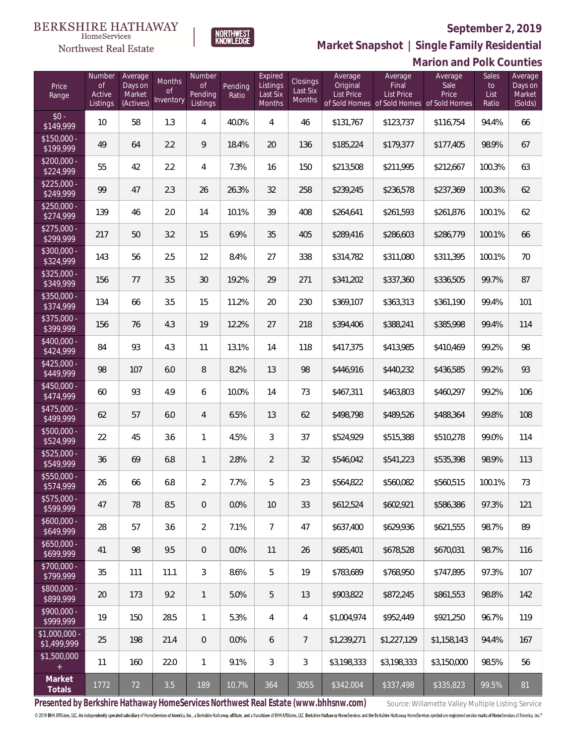

NORTHWEST<br>KNOWLEDGE

Northwest Real Estate

**Market Snapshot | Single Family Residential**

|                               |                                           |                                           |                                      |                                            |                  |                                           |                                |                                          |                                                                                    | <b>Marion and Polk Counties</b> |                              |                                         |
|-------------------------------|-------------------------------------------|-------------------------------------------|--------------------------------------|--------------------------------------------|------------------|-------------------------------------------|--------------------------------|------------------------------------------|------------------------------------------------------------------------------------|---------------------------------|------------------------------|-----------------------------------------|
| Price<br>Range                | Number<br><b>of</b><br>Active<br>Listings | Average<br>Days on<br>Market<br>(Actives) | Months<br><sub>of</sub><br>Inventory | Number<br><b>of</b><br>Pending<br>Listings | Pending<br>Ratio | Expired<br>Listings<br>Last Six<br>Months | Closings<br>Last Six<br>Months | Average<br>Original<br><b>List Price</b> | Average<br>Final<br><b>List Price</b><br>of Sold Homes of Sold Homes of Sold Homes | Average<br>Sale<br>Price        | Sales<br>to<br>List<br>Ratio | Average<br>Days on<br>Market<br>(Solds) |
| $$0 -$<br>\$149,999           | 10                                        | 58                                        | 1.3                                  | 4                                          | 40.0%            | 4                                         | 46                             | \$131,767                                | \$123,737                                                                          | \$116,754                       | 94.4%                        | 66                                      |
| $$150,000 -$<br>\$199,999     | 49                                        | 64                                        | 2.2                                  | 9                                          | 18.4%            | 20                                        | 136                            | \$185,224                                | \$179,377                                                                          | \$177,405                       | 98.9%                        | 67                                      |
| $$200,000 -$<br>\$224,999     | 55                                        | 42                                        | 2.2                                  | 4                                          | 7.3%             | 16                                        | 150                            | \$213,508                                | \$211,995                                                                          | \$212,667                       | 100.3%                       | 63                                      |
| $$225,000 -$<br>\$249,999     | 99                                        | 47                                        | 2.3                                  | 26                                         | 26.3%            | 32                                        | 258                            | \$239,245                                | \$236,578                                                                          | \$237,369                       | 100.3%                       | 62                                      |
| $$250,000 -$<br>\$274,999     | 139                                       | 46                                        | 2.0                                  | 14                                         | 10.1%            | 39                                        | 408                            | \$264,641                                | \$261,593                                                                          | \$261,876                       | 100.1%                       | 62                                      |
| $$275,000 -$<br>\$299,999     | 217                                       | 50                                        | 3.2                                  | 15                                         | 6.9%             | 35                                        | 405                            | \$289,416                                | \$286,603                                                                          | \$286,779                       | 100.1%                       | 66                                      |
| \$300,000 -<br>\$324,999      | 143                                       | 56                                        | 2.5                                  | 12                                         | 8.4%             | 27                                        | 338                            | \$314,782                                | \$311,080                                                                          | \$311,395                       | 100.1%                       | 70                                      |
| \$325,000 -<br>\$349,999      | 156                                       | 77                                        | 3.5                                  | 30                                         | 19.2%            | 29                                        | 271                            | \$341,202                                | \$337,360                                                                          | \$336,505                       | 99.7%                        | 87                                      |
| \$350,000 -<br>\$374,999      | 134                                       | 66                                        | 3.5                                  | 15                                         | 11.2%            | 20                                        | 230                            | \$369,107                                | \$363,313                                                                          | \$361,190                       | 99.4%                        | 101                                     |
| \$375,000 -<br>\$399,999      | 156                                       | 76                                        | 4.3                                  | 19                                         | 12.2%            | 27                                        | 218                            | \$394,406                                | \$388,241                                                                          | \$385,998                       | 99.4%                        | 114                                     |
| \$400,000 -<br>\$424,999      | 84                                        | 93                                        | 4.3                                  | 11                                         | 13.1%            | 14                                        | 118                            | \$417,375                                | \$413,985                                                                          | \$410,469                       | 99.2%                        | 98                                      |
| $$425,000 -$<br>\$449,999     | 98                                        | 107                                       | 6.0                                  | 8                                          | 8.2%             | 13                                        | 98                             | \$446,916                                | \$440,232                                                                          | \$436,585                       | 99.2%                        | 93                                      |
| $$450,000 -$<br>\$474,999     | 60                                        | 93                                        | 4.9                                  | 6                                          | 10.0%            | 14                                        | 73                             | \$467,311                                | \$463,803                                                                          | \$460,297                       | 99.2%                        | 106                                     |
| $$475,000 -$<br>\$499,999     | 62                                        | 57                                        | 6.0                                  | $\overline{4}$                             | 6.5%             | 13                                        | 62                             | \$498,798                                | \$489,526                                                                          | \$488,364                       | 99.8%                        | 108                                     |
| \$500,000 -<br>\$524,999      | 22                                        | 45                                        | 3.6                                  | $\mathbf{1}$                               | 4.5%             | 3                                         | 37                             | \$524,929                                | \$515,388                                                                          | \$510,278                       | 99.0%                        | 114                                     |
| $$525,000 -$<br>\$549,999     | 36                                        | 69                                        | 6.8                                  | 1                                          | 2.8%             | $\overline{2}$                            | 32                             | \$546,042                                | \$541,223                                                                          | \$535,398                       | 98.9%                        | 113                                     |
| \$550,000<br>\$574,999        | 26                                        | 66                                        | 6.8                                  | 2                                          | 7.7%             | 5                                         | 23                             | \$564,822                                | \$560,082                                                                          | \$560,515                       | 100.1%                       | 73                                      |
| \$575,000 -<br>\$599,999      | 47                                        | 78                                        | 8.5                                  | $\overline{0}$                             | 0.0%             | 10                                        | 33                             | \$612,524                                | \$602,921                                                                          | \$586,386                       | 97.3%                        | 121                                     |
| $$600.000 -$<br>\$649,999     | 28                                        | 57                                        | 3.6                                  | $\overline{2}$                             | 7.1%             | $\overline{7}$                            | 47                             | \$637,400                                | \$629,936                                                                          | \$621,555                       | 98.7%                        | 89                                      |
| $$650,000 -$<br>\$699,999     | 41                                        | 98                                        | 9.5                                  | $\overline{0}$                             | 0.0%             | 11                                        | 26                             | \$685,401                                | \$678,528                                                                          | \$670.031                       | 98.7%                        | 116                                     |
| $$700,000 -$<br>\$799,999     | 35                                        | 111                                       | 11.1                                 | 3                                          | 8.6%             | 5                                         | 19                             | \$783,689                                | \$768,950                                                                          | \$747,895                       | 97.3%                        | 107                                     |
| $$800,000 -$<br>\$899,999     | 20                                        | 173                                       | 9.2                                  | $\mathbf{1}$                               | 5.0%             | 5                                         | 13                             | \$903,822                                | \$872,245                                                                          | \$861,553                       | 98.8%                        | 142                                     |
| $$900.000 -$<br>\$999,999     | 19                                        | 150                                       | 28.5                                 | $\mathbf{1}$                               | 5.3%             | 4                                         | 4                              | \$1,004,974                              | \$952,449                                                                          | \$921,250                       | 96.7%                        | 119                                     |
| $$1,000,000$ -<br>\$1,499,999 | 25                                        | 198                                       | 21.4                                 | $\overline{0}$                             | $0.0\%$          | 6                                         | 7                              | \$1,239,271                              | \$1,227,129                                                                        | \$1,158,143                     | 94.4%                        | 167                                     |
| \$1,500,000                   | 11                                        | 160                                       | 22.0                                 | $\mathbf{1}$                               | 9.1%             | 3                                         | 3                              | \$3,198,333                              | \$3,198,333                                                                        | \$3,150,000                     | 98.5%                        | 56                                      |
| Market<br>Totals              | 1772                                      | 72                                        | 3.5                                  | 189                                        | 10.7%            | 364                                       | 3055                           | \$342,004                                | \$337,498                                                                          | \$335,823                       | 99.5%                        | 81                                      |

Presented by Berkshire Hathaway HomeServices Northwest Real Estate (www.bhhsnw.com) source: Willamette Valley Multiple Listing Service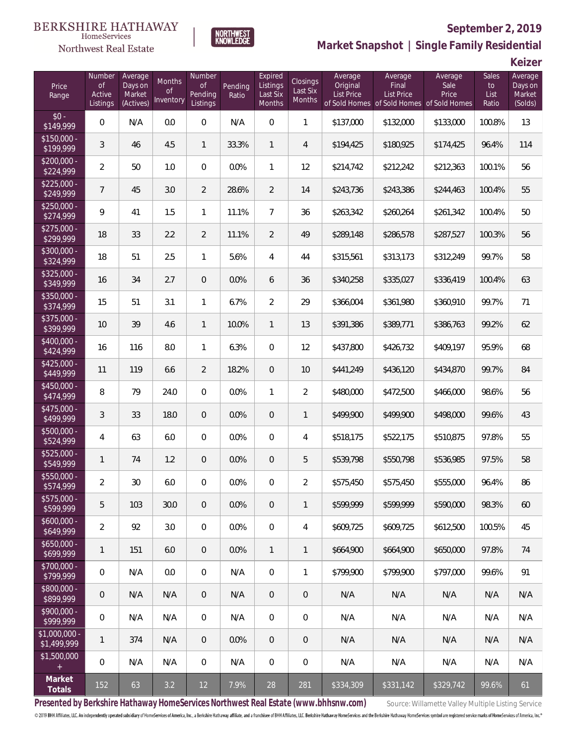#### **BERKSHIRE HATHAWAY**  $\label{lem:sevices} \textsc{Home} \textsc{Service} \textsc{s}$

## Northwest Real Estate



# **September 2, 2019**

**Market Snapshot | Single Family Residential**

**Keizer**

| Price<br>Range                | Number<br>of<br>Active<br>Listings | Average<br>Days on<br>Market<br>(Actives) | Months<br><b>of</b><br>Inventory | Number<br><b>of</b><br>Pending<br>Listings | Pending<br>Ratio | Expired<br>Listings<br>Last Six<br>Months | Closings<br>Last Six<br>Months | Average<br>Original<br><b>List Price</b> | Average<br>Final<br>List Price<br>of Sold Homes of Sold Homes | Average<br>Sale<br>Price<br>of Sold Homes | Sales<br>to<br>List<br>Ratio | Average<br>Days on<br>Market<br>(Solds) |
|-------------------------------|------------------------------------|-------------------------------------------|----------------------------------|--------------------------------------------|------------------|-------------------------------------------|--------------------------------|------------------------------------------|---------------------------------------------------------------|-------------------------------------------|------------------------------|-----------------------------------------|
| $$0 -$<br>\$149,999           | 0                                  | N/A                                       | 0.0                              | $\boldsymbol{0}$                           | N/A              | $\mathbf 0$                               | 1                              | \$137,000                                | \$132,000                                                     | \$133,000                                 | 100.8%                       | 13                                      |
| $$150,000 -$<br>\$199,999     | 3                                  | 46                                        | 4.5                              | $\mathbf{1}$                               | 33.3%            | $\mathbf{1}$                              | 4                              | \$194,425                                | \$180,925                                                     | \$174,425                                 | 96.4%                        | 114                                     |
| $$200,000 -$<br>\$224,999     | $\overline{2}$                     | 50                                        | 1.0                              | $\boldsymbol{0}$                           | 0.0%             | 1                                         | 12                             | \$214,742                                | \$212,242                                                     | \$212,363                                 | 100.1%                       | 56                                      |
| $$225,000 -$<br>\$249,999     | $\overline{7}$                     | 45                                        | 3.0                              | $\overline{2}$                             | 28.6%            | $\overline{2}$                            | 14                             | \$243,736                                | \$243,386                                                     | \$244,463                                 | 100.4%                       | 55                                      |
| $$250,000 -$<br>\$274,999     | 9                                  | 41                                        | 1.5                              | $\mathbf{1}$                               | 11.1%            | $\overline{7}$                            | 36                             | \$263,342                                | \$260,264                                                     | \$261,342                                 | 100.4%                       | 50                                      |
| $$275,000 -$<br>\$299,999     | 18                                 | 33                                        | 2.2                              | $\overline{2}$                             | 11.1%            | $\overline{2}$                            | 49                             | \$289,148                                | \$286,578                                                     | \$287,527                                 | 100.3%                       | 56                                      |
| $$300,000 -$<br>\$324,999     | 18                                 | 51                                        | 2.5                              | $\mathbf{1}$                               | 5.6%             | $\overline{4}$                            | 44                             | \$315,561                                | \$313,173                                                     | \$312,249                                 | 99.7%                        | 58                                      |
| $$325,000 -$<br>\$349,999     | 16                                 | 34                                        | 2.7                              | $\boldsymbol{0}$                           | 0.0%             | 6                                         | 36                             | \$340,258                                | \$335,027                                                     | \$336,419                                 | 100.4%                       | 63                                      |
| \$350,000 -<br>\$374,999      | 15                                 | 51                                        | 3.1                              | $\mathbf{1}$                               | 6.7%             | $\overline{2}$                            | 29                             | \$366,004                                | \$361,980                                                     | \$360,910                                 | 99.7%                        | 71                                      |
| \$375,000 -<br>\$399,999      | 10                                 | 39                                        | 4.6                              | $\mathbf{1}$                               | 10.0%            | $\mathbf{1}$                              | 13                             | \$391,386                                | \$389,771                                                     | \$386,763                                 | 99.2%                        | 62                                      |
| $$400,000 -$<br>\$424,999     | 16                                 | 116                                       | 8.0                              | $\mathbf{1}$                               | 6.3%             | $\mathbf 0$                               | 12                             | \$437,800                                | \$426,732                                                     | \$409,197                                 | 95.9%                        | 68                                      |
| $$425,000 -$<br>\$449,999     | 11                                 | 119                                       | 6.6                              | $\overline{2}$                             | 18.2%            | $\mathbf 0$                               | 10                             | \$441,249                                | \$436,120                                                     | \$434,870                                 | 99.7%                        | 84                                      |
| \$450,000 -<br>\$474,999      | 8                                  | 79                                        | 24.0                             | $\overline{0}$                             | 0.0%             | 1                                         | $\overline{2}$                 | \$480,000                                | \$472,500                                                     | \$466,000                                 | 98.6%                        | 56                                      |
| $$475,000 -$<br>\$499,999     | 3                                  | 33                                        | 18.0                             | $\boldsymbol{0}$                           | 0.0%             | $\mathbf 0$                               | 1                              | \$499,900                                | \$499,900                                                     | \$498,000                                 | 99.6%                        | 43                                      |
| $$500,000 -$<br>\$524,999     | 4                                  | 63                                        | 6.0                              | $\boldsymbol{0}$                           | 0.0%             | $\overline{0}$                            | $\overline{4}$                 | \$518,175                                | \$522,175                                                     | \$510,875                                 | 97.8%                        | 55                                      |
| $$525,000 -$<br>\$549,999     | 1                                  | 74                                        | 1.2                              | $\overline{0}$                             | 0.0%             | $\mathbf 0$                               | 5                              | \$539,798                                | \$550,798                                                     | \$536,985                                 | 97.5%                        | 58                                      |
| \$550,000 -<br>\$574,999      | $\overline{2}$                     | 30                                        | 6.0                              | $\overline{0}$                             | 0.0%             | 0                                         | $\overline{2}$                 | \$575,450                                | \$575,450                                                     | \$555,000                                 | 96.4%                        | 86                                      |
| \$575,000 -<br>\$599,999      | 5                                  | 103                                       | 30.0                             | $\mathbf 0$                                | 0.0%             | $\mathbf 0$                               | $\mathbf{1}$                   | \$599,999                                | \$599,999                                                     | \$590,000                                 | 98.3%                        | 60                                      |
| $$600,000 -$<br>\$649,999     | $\overline{a}$                     | 92                                        | 3.0                              | $\overline{0}$                             | 0.0%             | $\mathbf 0$                               | 4                              | \$609,725                                | \$609,725                                                     | \$612,500                                 | 100.5%                       | 45                                      |
| $$650,000 -$<br>\$699,999     | 1                                  | 151                                       | 6.0                              | $\mathbf 0$                                | 0.0%             | $\mathbf{1}$                              | 1                              | \$664,900                                | \$664,900                                                     | \$650,000                                 | 97.8%                        | 74                                      |
| $$700,000 -$<br>\$799,999     | $\boldsymbol{0}$                   | N/A                                       | 0.0                              | $\mathbf 0$                                | N/A              | $\mathbf 0$                               | $\mathbf{1}$                   | \$799,900                                | \$799,900                                                     | \$797,000                                 | 99.6%                        | 91                                      |
| $$800,000 -$<br>\$899,999     | 0                                  | N/A                                       | N/A                              | $\mathbf 0$                                | N/A              | $\mathbf 0$                               | $\sqrt{a}$                     | N/A                                      | N/A                                                           | N/A                                       | N/A                          | N/A                                     |
| $$900,000 -$<br>\$999,999     | $\boldsymbol{0}$                   | N/A                                       | N/A                              | $\circ$                                    | N/A              | $\mathbf{0}$                              | $\boldsymbol{0}$               | N/A                                      | N/A                                                           | N/A                                       | N/A                          | N/A                                     |
| $$1,000,000 -$<br>\$1,499,999 | 1                                  | 374                                       | N/A                              | $\mathbf 0$                                | 0.0%             | $\overline{0}$                            | $\theta$                       | N/A                                      | N/A                                                           | N/A                                       | N/A                          | N/A                                     |
| \$1,500,000<br>$\pm$          | 0                                  | N/A                                       | N/A                              | $\boldsymbol{0}$                           | N/A              | $\boldsymbol{0}$                          | $\boldsymbol{0}$               | N/A                                      | N/A                                                           | N/A                                       | N/A                          | N/A                                     |
| Market<br>Totals              | 152                                | 63                                        | $3.2\,$                          | 12                                         | 7.9%             | 28                                        | 281                            | \$334,309                                | \$331,142                                                     | \$329,742                                 | 99.6%                        | 61                                      |

Presented by Berkshire Hathaway HomeServices Northwest Real Estate (www.bhhsnw.com) source: Willamette Valley Multiple Listing Service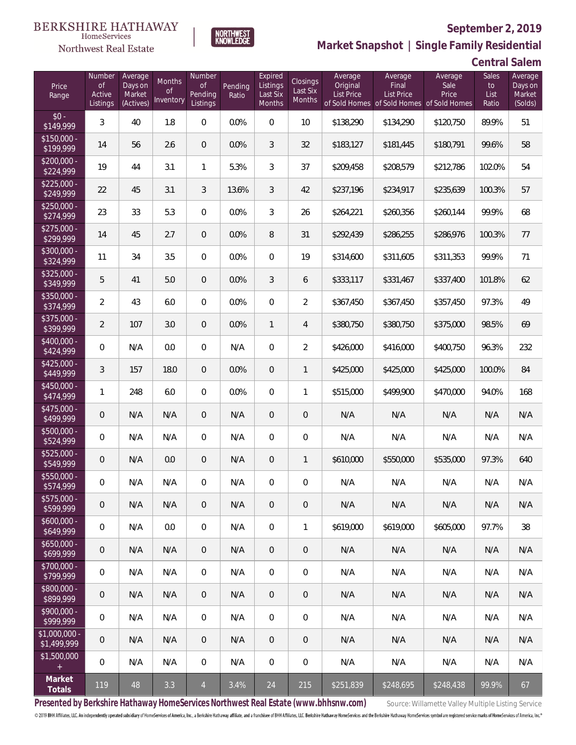

NORTHWEST<br>KNOWLEDGE

Northwest Real Estate

## **Market Snapshot | Single Family Residential**

| Price<br>Range               | Number<br><b>of</b><br>Active<br>Listings | Average<br>Days on<br>Market<br>(Actives) | Months<br>0f<br>Inventory | Number<br>Οf<br>Pending<br>Listings | Pending<br>Ratio | Expired<br>Listings<br>Last Six<br>Months | Closings<br>Last Six<br>Months | Average<br>Original<br><b>List Price</b> | Average<br>Final<br><b>List Price</b><br>of Sold Homes of Sold Homes of Sold Homes | Average<br>Sale<br>Price | Sales<br>to<br>List<br>Ratio | Average<br>Days on<br>Market<br>(Solds) |
|------------------------------|-------------------------------------------|-------------------------------------------|---------------------------|-------------------------------------|------------------|-------------------------------------------|--------------------------------|------------------------------------------|------------------------------------------------------------------------------------|--------------------------|------------------------------|-----------------------------------------|
| $$0 -$<br>\$149,999          | 3                                         | 40                                        | 1.8                       | $\overline{0}$                      | 0.0%             | $\Omega$                                  | 10 <sup>°</sup>                | \$138,290                                | \$134,290                                                                          | \$120,750                | 89.9%                        | 51                                      |
| $$150,000 -$<br>\$199,999    | 14                                        | 56                                        | 2.6                       | $\overline{0}$                      | 0.0%             | 3                                         | 32                             | \$183,127                                | \$181,445                                                                          | \$180,791                | 99.6%                        | 58                                      |
| $$200,000 -$<br>\$224,999    | 19                                        | 44                                        | 3.1                       | $\mathbf{1}$                        | 5.3%             | 3                                         | 37                             | \$209,458                                | \$208,579                                                                          | \$212,786                | 102.0%                       | 54                                      |
| $$225,000 -$<br>\$249,999    | 22                                        | 45                                        | 3.1                       | 3                                   | 13.6%            | 3                                         | 42                             | \$237,196                                | \$234,917                                                                          | \$235,639                | 100.3%                       | 57                                      |
| $$250,000 -$<br>\$274,999    | 23                                        | 33                                        | 5.3                       | $\overline{0}$                      | 0.0%             | 3                                         | 26                             | \$264,221                                | \$260,356                                                                          | \$260,144                | 99.9%                        | 68                                      |
| $$275,000 -$<br>\$299,999    | 14                                        | 45                                        | 2.7                       | $\overline{0}$                      | 0.0%             | 8                                         | 31                             | \$292,439                                | \$286,255                                                                          | \$286,976                | 100.3%                       | 77                                      |
| $$300,000 -$<br>\$324,999    | 11                                        | 34                                        | 3.5                       | $\overline{0}$                      | 0.0%             | $\overline{0}$                            | 19                             | \$314,600                                | \$311,605                                                                          | \$311,353                | 99.9%                        | 71                                      |
| $$325,000 -$<br>\$349,999    | 5                                         | 41                                        | 5.0                       | $\overline{0}$                      | 0.0%             | 3                                         | 6                              | \$333,117                                | \$331,467                                                                          | \$337,400                | 101.8%                       | 62                                      |
| $$350,000 -$<br>\$374,999    | $\overline{2}$                            | 43                                        | 6.0                       | $\overline{0}$                      | 0.0%             | $\overline{0}$                            | $\overline{2}$                 | \$367,450                                | \$367,450                                                                          | \$357,450                | 97.3%                        | 49                                      |
| \$375,000 -<br>\$399,999     | $\overline{2}$                            | 107                                       | 3.0                       | $\overline{0}$                      | 0.0%             | $\mathbf{1}$                              | $\overline{4}$                 | \$380,750                                | \$380,750                                                                          | \$375,000                | 98.5%                        | 69                                      |
| $$400,000 -$<br>\$424,999    | 0                                         | N/A                                       | 0.0                       | $\overline{0}$                      | N/A              | $\overline{0}$                            | $\overline{2}$                 | \$426,000                                | \$416,000                                                                          | \$400,750                | 96.3%                        | 232                                     |
| $$425,000 -$<br>\$449,999    | 3                                         | 157                                       | 18.0                      | $\overline{0}$                      | 0.0%             | $\overline{0}$                            | $\mathbf{1}$                   | \$425,000                                | \$425,000                                                                          | \$425,000                | 100.0%                       | 84                                      |
| $$450,000 -$<br>\$474,999    | $\mathbf{1}$                              | 248                                       | 6.0                       | $\overline{0}$                      | 0.0%             | $\overline{0}$                            | $\mathbf{1}$                   | \$515,000                                | \$499,900                                                                          | \$470,000                | 94.0%                        | 168                                     |
| $$475,000 -$<br>\$499,999    | 0                                         | N/A                                       | N/A                       | $\overline{0}$                      | N/A              | $\overline{0}$                            | $\sqrt{a}$                     | N/A                                      | N/A                                                                                | N/A                      | N/A                          | N/A                                     |
| \$500,000 -<br>\$524,999     | 0                                         | N/A                                       | N/A                       | $\overline{0}$                      | N/A              | $\overline{0}$                            | $\boldsymbol{0}$               | N/A                                      | N/A                                                                                | N/A                      | N/A                          | N/A                                     |
| $$525,000 -$<br>\$549,999    | 0                                         | N/A                                       | 0.0                       | $\overline{0}$                      | N/A              | $\overline{0}$                            | $\mathbf{1}$                   | \$610,000                                | \$550,000                                                                          | \$535,000                | 97.3%                        | 640                                     |
| \$550,000 -<br>\$574,999     | 0                                         | N/A                                       | N/A                       | $\mathbf{0}$                        | N/A              | $\overline{0}$                            | $\boldsymbol{0}$               | N/A                                      | N/A                                                                                | N/A                      | N/A                          | N/A                                     |
| \$575,000 -<br>\$599,999     | 0                                         | N/A                                       | N/A                       | $\mathbf 0$                         | N/A              | $\theta$                                  | $\mathbf 0$                    | N/A                                      | N/A                                                                                | N/A                      | N/A                          | N/A                                     |
| $$600,000 -$<br>\$649,999    | 0                                         | N/A                                       | 0.0                       | $\mathbf 0$                         | N/A              | $\mathbf 0$                               | 1                              | \$619,000                                | \$619,000                                                                          | \$605,000                | 97.7%                        | 38                                      |
| $$650,000 -$<br>\$699,999    | 0                                         | N/A                                       | N/A                       | $\mathbf 0$                         | N/A              | $\sqrt{0}$                                | $\mathbf 0$                    | N/A                                      | N/A                                                                                | N/A                      | N/A                          | N/A                                     |
| \$700,000 -<br>\$799,999     | 0                                         | N/A                                       | N/A                       | $\mathbf 0$                         | N/A              | $\mathbf 0$                               | $\mathbf 0$                    | N/A                                      | N/A                                                                                | N/A                      | N/A                          | N/A                                     |
| \$800,000 -<br>\$899,999     | 0                                         | N/A                                       | N/A                       | $\mathbf 0$                         | N/A              | $\sqrt{0}$                                | $\mathbf 0$                    | N/A                                      | N/A                                                                                | N/A                      | N/A                          | N/A                                     |
| $$900,000 -$<br>\$999,999    | 0                                         | N/A                                       | N/A                       | $\overline{0}$                      | N/A              | $\mathbf 0$                               | $\overline{0}$                 | N/A                                      | N/A                                                                                | N/A                      | N/A                          | N/A                                     |
| \$1,000,000 -<br>\$1,499,999 | 0                                         | N/A                                       | N/A                       | $\mathbf 0$                         | N/A              | $\sqrt{0}$                                | $\mathbf 0$                    | N/A                                      | N/A                                                                                | N/A                      | N/A                          | N/A                                     |
| \$1,500,000<br>$+$ $\,$      | 0                                         | N/A                                       | N/A                       | $\mathbf 0$                         | N/A              | $\mathbf 0$                               | $\mathbf 0$                    | N/A                                      | N/A                                                                                | N/A                      | N/A                          | N/A                                     |
| Market<br>Totals             | 119                                       | 48                                        | 3.3                       | $\overline{4}$                      | 3.4%             | 24                                        | 215                            | \$251,839                                | \$248,695                                                                          | \$248,438                | 99.9%                        | 67                                      |

Presented by Berkshire Hathaway HomeServices Northwest Real Estate (www.bhhsnw.com) source: Willamette Valley Multiple Listing Service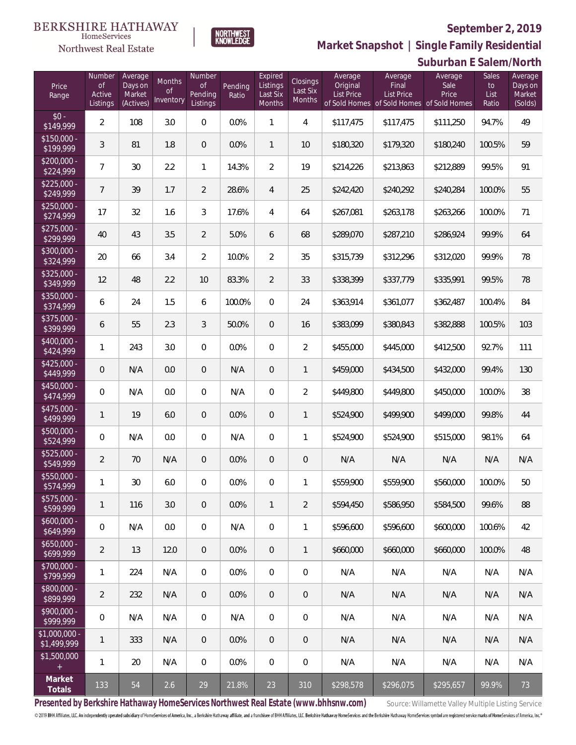Sales

Average Days on

**Suburban E Salem/North**



Average Days on Number of

Months

Pending

NORTHWEST<br>KNOWLFDGE

Expired **Listings** 

**Closings** 

Average **Original** 

Northwest Real Estate

Number

Price

 $\frac{1}{51}$ 

 $\frac{1}{2}$ 

 $\frac{1}{2}$ 

 $\frac{1}{2}$ 

 $\frac{1}{2}$ 

 $\frac{1}{24}$ 

 $\frac{$4!}{$4}$ 

 $$4$ <br> $$4$ 

 $$5<sup>0</sup>$ 

 $\frac{1}{55}$ 

 $$5$ <br> $$5$ 

 $\frac{1}{5}$ 

 $\frac{$6|}{$6}$ 

 $$6,56$ 

 $\frac{$7}{}}$ 

 $$8$ 

 $$9$ 

 $$1,0$ <br> $$1,0$ 

 $$1$ 

**Market Snapshot | Single Family Residential**

Average Sale

Average Final

| Range                        | Active<br>Listings | Market<br>(Actives) | 0f<br>Inventory | Pending<br>Listings | Ratio  | Last Six<br>Months | Last Six<br>Months | <b>List Price</b> | List Price<br>of Sold Homes of Sold Homes of Sold Homes | Price     | List<br>Ratio | Market<br>(Solds) |
|------------------------------|--------------------|---------------------|-----------------|---------------------|--------|--------------------|--------------------|-------------------|---------------------------------------------------------|-----------|---------------|-------------------|
| $$0 -$<br>\$149,999          | $\overline{2}$     | 108                 | 3.0             | $\boldsymbol{0}$    | 0.0%   | $\mathbf{1}$       | 4                  | \$117,475         | \$117,475                                               | \$111,250 | 94.7%         | 49                |
| \$150,000 -<br>\$199,999     | 3                  | 81                  | $1.8\,$         | $\boldsymbol{0}$    | 0.0%   | $\mathbf{1}$       | 10                 | \$180,320         | \$179,320                                               | \$180,240 | 100.5%        | 59                |
| $$200,000 -$<br>\$224,999    | 7                  | 30                  | 2.2             | $\mathbf{1}$        | 14.3%  | $\overline{2}$     | 19                 | \$214,226         | \$213,863                                               | \$212,889 | 99.5%         | 91                |
| $$225,000 -$<br>\$249,999    | 7                  | 39                  | 1.7             | $\overline{2}$      | 28.6%  | 4                  | 25                 | \$242,420         | \$240,292                                               | \$240,284 | 100.0%        | 55                |
| $$250,000 -$<br>\$274,999    | 17                 | 32                  | 1.6             | 3                   | 17.6%  | 4                  | 64                 | \$267,081         | \$263,178                                               | \$263,266 | 100.0%        | 71                |
| $$275,000 -$<br>\$299,999    | 40                 | 43                  | 3.5             | $\overline{2}$      | 5.0%   | 6                  | 68                 | \$289,070         | \$287,210                                               | \$286,924 | 99.9%         | 64                |
| \$300,000 -<br>\$324,999     | 20                 | 66                  | 3.4             | $\overline{2}$      | 10.0%  | $\overline{2}$     | 35                 | \$315,739         | \$312,296                                               | \$312,020 | 99.9%         | 78                |
| $$325,000 -$<br>\$349,999    | 12                 | 48                  | 2.2             | 10                  | 83.3%  | $\overline{2}$     | 33                 | \$338,399         | \$337,779                                               | \$335,991 | 99.5%         | 78                |
| \$350,000 -<br>\$374,999     | 6                  | 24                  | 1.5             | 6                   | 100.0% | $\boldsymbol{0}$   | 24                 | \$363,914         | \$361,077                                               | \$362,487 | 100.4%        | 84                |
| \$375,000 -<br>\$399,999     | 6                  | 55                  | 2.3             | 3                   | 50.0%  | $\boldsymbol{0}$   | 16                 | \$383,099         | \$380,843                                               | \$382,888 | 100.5%        | 103               |
| \$400,000 -<br>\$424,999     | 1                  | 243                 | 3.0             | $\boldsymbol{0}$    | 0.0%   | $\boldsymbol{0}$   | $\overline{2}$     | \$455,000         | \$445,000                                               | \$412,500 | 92.7%         | 111               |
| $$425,000 -$<br>\$449,999    | $\mathbf 0$        | N/A                 | 0.0             | $\theta$            | N/A    | $\mathbf 0$        | 1                  | \$459,000         | \$434,500                                               | \$432,000 | 99.4%         | 130               |
| \$450,000 -<br>\$474,999     | 0                  | N/A                 | 0.0             | $\boldsymbol{0}$    | N/A    | $\boldsymbol{0}$   | $\overline{2}$     | \$449,800         | \$449,800                                               | \$450,000 | 100.0%        | 38                |
| \$475,000 -<br>\$499,999     | $\mathbf{1}$       | 19                  | 6.0             | $\theta$            | 0.0%   | $\mathbf 0$        | 1                  | \$524,900         | \$499,900                                               | \$499,000 | 99.8%         | 44                |
| \$500,000 -<br>\$524,999     | 0                  | N/A                 | 0.0             | $\boldsymbol{0}$    | N/A    | $\boldsymbol{0}$   | 1                  | \$524,900         | \$524,900                                               | \$515,000 | 98.1%         | 64                |
| \$525,000 -<br>\$549,999     | $\overline{2}$     | 70                  | N/A             | $\theta$            | 0.0%   | $\boldsymbol{0}$   | $\theta$           | N/A               | N/A                                                     | N/A       | N/A           | N/A               |
| \$550,000 -<br>\$574,999     | 1                  | 30                  | 6.0             | 0                   | 0.0%   | $\boldsymbol{0}$   | 1                  | \$559,900         | \$559,900                                               | \$560,000 | 100.0%        | 50                |
| \$575,000 -<br>\$599,999     | 1                  | 116                 | $3.0\,$         | $\theta$            | 0.0%   | $\mathbf{1}$       | $\overline{2}$     | \$594,450         | \$586,950                                               | \$584,500 | 99.6%         | 88                |
| \$600,000 -<br>\$649,999     | 0                  | N/A                 | 0.0             | $\boldsymbol{0}$    | N/A    | $\mathbf 0$        | 1                  | \$596,600         | \$596,600                                               | \$600,000 | 100.6%        | 42                |
| \$650,000 -<br>\$699,999     | $\overline{2}$     | 13                  | 12.0            | $\mathbf 0$         | 0.0%   | $\sqrt{2}$         | 1                  | \$660,000         | \$660,000                                               | \$660,000 | 100.0%        | 48                |
| \$700,000 -<br>\$799,999     | 1                  | 224                 | N/A             | 0                   | 0.0%   | 0                  | 0                  | N/A               | N/A                                                     | N/A       | N/A           | N/A               |
| \$800,000 -<br>\$899,999     | $\overline{2}$     | 232                 | N/A             | $\mathbf 0$         | 0.0%   | $\sqrt{2}$         | $\mathbf 0$        | N/A               | N/A                                                     | N/A       | N/A           | N/A               |
| \$900,000 -<br>\$999,999     | 0                  | N/A                 | N/A             | 0                   | N/A    | $\mathbf 0$        | $\mathbf 0$        | N/A               | N/A                                                     | N/A       | N/A           | N/A               |
| \$1,000,000 -<br>\$1,499,999 | 1                  | 333                 | N/A             | $\mathbf 0$         | 0.0%   | $\overline{0}$     | $\mathbf 0$        | N/A               | N/A                                                     | N/A       | N/A           | N/A               |
| \$1,500,000<br>$+$           | 1                  | 20                  | N/A             | 0                   | 0.0%   | $\boldsymbol{0}$   | $\mathbf 0$        | N/A               | N/A                                                     | N/A       | N/A           | N/A               |
| Market<br>Totals             | 133                | 54                  | 2.6             | 29                  | 21.8%  | 23                 | 310                | \$298,578         | \$296,075                                               | \$295,657 | 99.9%         | 73                |

**Presented by Berkshire Hathaway HomeServices Northwest Real Estate (www.bhhsnw.com)** Source: Willamette Valley Multiple Listing Service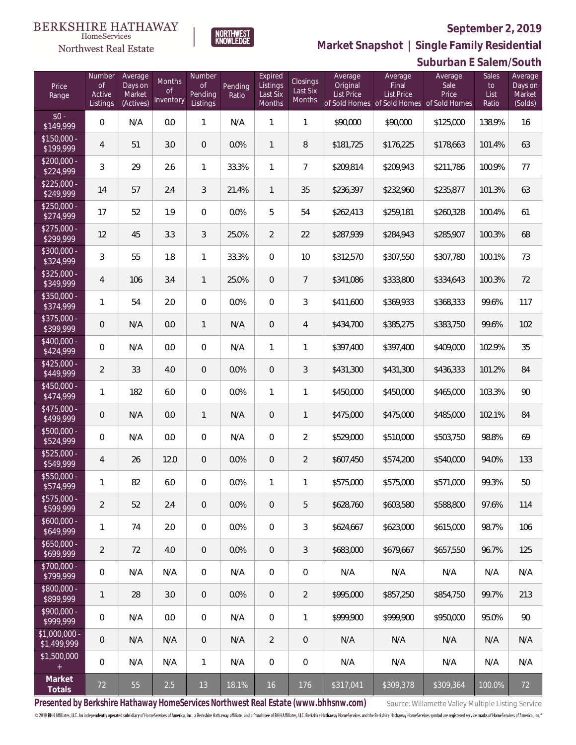

NORTHWEST<br>KNOWLEDGE

Northwest Real Estate

**Market Snapshot | Single Family Residential**

|                               |                     |                     |                            |                     |         |                           |                           |                     |                                                                | Suburban E Salem/South |               |                    |
|-------------------------------|---------------------|---------------------|----------------------------|---------------------|---------|---------------------------|---------------------------|---------------------|----------------------------------------------------------------|------------------------|---------------|--------------------|
| Price                         | Number<br><b>of</b> | Average<br>Days on  | Months                     | Number<br><b>of</b> | Pending | Expired<br>Listings       | Closings                  | Average<br>Original | Average<br>Final                                               | Average<br>Sale        | Sales<br>to   | Average<br>Days on |
| Range                         | Active<br>Listings  | Market<br>(Actives) | <sub>of</sub><br>Inventory | Pending<br>Listings | Ratio   | Last Six<br><b>Months</b> | Last Six<br><b>Months</b> | <b>List Price</b>   | <b>List Price</b><br>of Sold Homes of Sold Homes of Sold Homes | Price                  | List<br>Ratio | Market<br>(Solds)  |
| $$0 -$<br>\$149,999           | 0                   | N/A                 | 0.0                        | $\mathbf{1}$        | N/A     | 1                         | 1                         | \$90,000            | \$90,000                                                       | \$125,000              | 138.9%        | 16                 |
| $$150,000 -$<br>\$199,999     | 4                   | 51                  | 3.0                        | $\overline{0}$      | 0.0%    | $\mathbf{1}$              | 8                         | \$181,725           | \$176,225                                                      | \$178,663              | 101.4%        | 63                 |
| $$200,000 -$<br>\$224,999     | 3                   | 29                  | 2.6                        | $\mathbf{1}$        | 33.3%   | 1                         | $\overline{7}$            | \$209,814           | \$209,943                                                      | \$211,786              | 100.9%        | 77                 |
| $$225,000 -$<br>\$249,999     | 14                  | 57                  | 2.4                        | 3                   | 21.4%   | $\mathbf{1}$              | 35                        | \$236,397           | \$232,960                                                      | \$235,877              | 101.3%        | 63                 |
| $$250,000 -$<br>\$274,999     | 17                  | 52                  | 1.9                        | $\overline{0}$      | 0.0%    | 5                         | 54                        | \$262,413           | \$259,181                                                      | \$260,328              | 100.4%        | 61                 |
| $$275,000 -$<br>\$299,999     | 12                  | 45                  | 3.3                        | 3                   | 25.0%   | $\overline{2}$            | 22                        | \$287,939           | \$284,943                                                      | \$285,907              | 100.3%        | 68                 |
| $$300,000 -$<br>\$324,999     | 3                   | 55                  | 1.8                        | 1                   | 33.3%   | $\mathbf{0}$              | 10                        | \$312,570           | \$307,550                                                      | \$307,780              | 100.1%        | 73                 |
| $$325,000 -$<br>\$349,999     | 4                   | 106                 | 3.4                        | $\mathbf{1}$        | 25.0%   | $\overline{0}$            | $\overline{7}$            | \$341,086           | \$333,800                                                      | \$334,643              | 100.3%        | 72                 |
| $$350,000 -$<br>\$374,999     | 1                   | 54                  | 2.0                        | $\overline{0}$      | 0.0%    | $\mathbf{0}$              | 3                         | \$411,600           | \$369,933                                                      | \$368,333              | 99.6%         | 117                |
| $$375,000 -$<br>\$399,999     | $\mathbf 0$         | N/A                 | 0.0                        | 1                   | N/A     | $\overline{0}$            | 4                         | \$434,700           | \$385,275                                                      | \$383,750              | 99.6%         | 102                |
| $$400.000 -$<br>\$424,999     | 0                   | N/A                 | 0.0                        | $\overline{0}$      | N/A     | 1                         | 1                         | \$397,400           | \$397,400                                                      | \$409,000              | 102.9%        | 35                 |
| $$425,000 -$<br>\$449,999     | $\overline{2}$      | 33                  | 4.0                        | $\overline{0}$      | 0.0%    | $\overline{0}$            | 3                         | \$431,300           | \$431,300                                                      | \$436,333              | 101.2%        | 84                 |
| $$450.000 -$<br>\$474,999     | 1                   | 182                 | 6.0                        | $\overline{0}$      | 0.0%    | 1                         | 1                         | \$450,000           | \$450,000                                                      | \$465,000              | 103.3%        | 90                 |
| $$475,000 -$<br>\$499,999     | $\mathbf 0$         | N/A                 | 0.0                        | $\mathbf{1}$        | N/A     | $\mathbf 0$               | 1                         | \$475,000           | \$475,000                                                      | \$485,000              | 102.1%        | 84                 |
| $$500,000 -$<br>\$524,999     | 0                   | N/A                 | 0.0                        | $\boldsymbol{0}$    | N/A     | $\boldsymbol{0}$          | $\overline{2}$            | \$529,000           | \$510,000                                                      | \$503,750              | 98.8%         | 69                 |
| $$525,000 -$<br>\$549,999     | 4                   | 26                  | 12.0                       | 0                   | 0.0%    | $\overline{0}$            | $\overline{2}$            | \$607,450           | \$574,200                                                      | \$540,000              | 94.0%         | 133                |
| $$550.000 -$<br>\$574,999     | 1                   | 82                  | 6.0                        | $\mathbf{0}$        | 0.0%    | 1                         | 1                         | \$575,000           | \$575,000                                                      | \$571,000              | 99.3%         | 50                 |
| $$575.000 -$<br>\$599,999     | $\overline{2}$      | 52                  | 2.4                        | $\overline{0}$      | 0.0%    | $\overline{0}$            | 5                         | \$628,760           | \$603,580                                                      | \$588,800              | 97.6%         | 114                |
| $$600,000 -$<br>\$649,999     | 1                   | 74                  | 2.0                        | $\mathbf{0}$        | 0.0%    | $\mathbf{0}$              | 3                         | \$624,667           | \$623,000                                                      | \$615,000              | 98.7%         | 106                |
| $$650,000 -$<br>\$699,999     | $\overline{2}$      | 72                  | 4.0                        | $\overline{0}$      | 0.0%    | $\overline{0}$            | 3                         | \$683,000           | \$679,667                                                      | \$657.550              | 96.7%         | 125                |
| $$700,000 -$<br>\$799,999     | 0                   | N/A                 | N/A                        | $\overline{0}$      | N/A     | $\boldsymbol{0}$          | $\overline{0}$            | N/A                 | N/A                                                            | N/A                    | N/A           | N/A                |
| \$800,000 -<br>\$899,999      | 1                   | 28                  | 3.0                        | $\overline{0}$      | 0.0%    | $\overline{0}$            | $\overline{2}$            | \$995,000           | \$857.250                                                      | \$854,750              | 99.7%         | 213                |
| $$900,000 -$<br>\$999,999     | 0                   | N/A                 | 0.0                        | $\mathbf{0}$        | N/A     | $\mathbf 0$               | 1                         | \$999,900           | \$999.900                                                      | \$950,000              | 95.0%         | 90                 |
| $$1,000,000$ -<br>\$1,499,999 | $\mathbf 0$         | N/A                 | N/A                        | $\theta$            | N/A     | 2                         | $\overline{0}$            | N/A                 | N/A                                                            | N/A                    | N/A           | N/A                |
| \$1,500,000                   | 0                   | N/A                 | N/A                        | $\mathbf{1}$        | N/A     | $\boldsymbol{0}$          | $\overline{0}$            | N/A                 | N/A                                                            | N/A                    | N/A           | N/A                |
| Market<br>Totals              | 72                  | 55                  | 2.5                        | 13                  | 18.1%   | 16                        | 176                       | \$317,041           | \$309,378                                                      | \$309,364              | 100.0%        | 72                 |

Presented by Berkshire Hathaway HomeServices Northwest Real Estate (www.bhhsnw.com) source: Willamette Valley Multiple Listing Service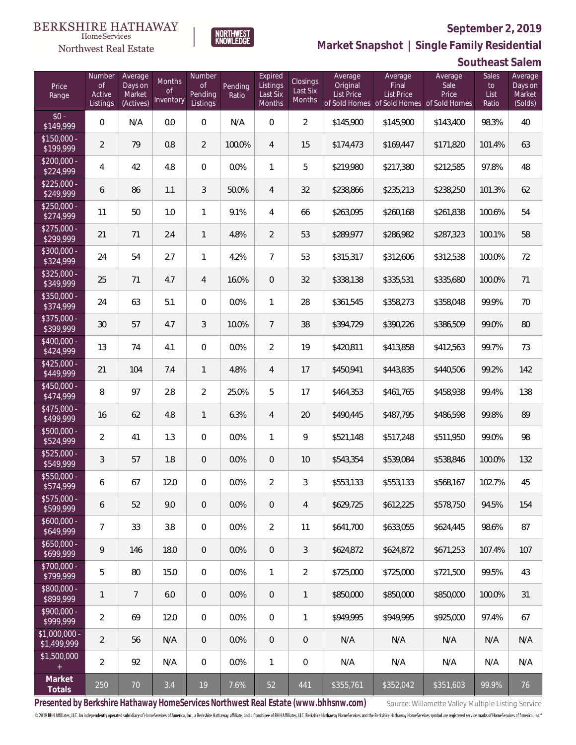

**NORTHWEST**<br>KNOWLEDGE

Northwest Real Estate

**Market Snapshot | Single Family Residential**

## **Southeast Salem**

| Price<br>Range               | Number<br><b>of</b><br>Active<br>Listings | Average<br>Days on<br>Market<br>(Actives) | Months<br><b>of</b><br>Inventory | Number<br><b>of</b><br>Pending<br>Listings | Pending<br>Ratio | Expired<br>Listings<br>Last Six<br>Months | <b>Closings</b><br>Last Six<br><b>Months</b> | Average<br>Original<br><b>List Price</b> | Average<br>Final<br>List Price<br>of Sold Homes of Sold Homes of Sold Homes | Average<br>Sale<br>Price | Sales<br>to<br>List<br>Ratio | Average<br>Days on<br>Market<br>(Solds) |
|------------------------------|-------------------------------------------|-------------------------------------------|----------------------------------|--------------------------------------------|------------------|-------------------------------------------|----------------------------------------------|------------------------------------------|-----------------------------------------------------------------------------|--------------------------|------------------------------|-----------------------------------------|
| $$0 -$<br>$\sqrt{$149,999}$  | $\overline{0}$                            | N/A                                       | 0.0                              | $\overline{0}$                             | N/A              | $\overline{0}$                            | $\overline{2}$                               | \$145,900                                | \$145,900                                                                   | \$143,400                | 98.3%                        | 40                                      |
| $$150,000 -$<br>\$199,999    | $\overline{2}$                            | 79                                        | 0.8                              | $\overline{2}$                             | 100.0%           | $\overline{4}$                            | 15                                           | \$174,473                                | \$169,447                                                                   | \$171,820                | 101.4%                       | 63                                      |
| $$200,000 -$<br>\$224,999    | 4                                         | 42                                        | 4.8                              | $\overline{0}$                             | 0.0%             | $\mathbf{1}$                              | 5                                            | \$219,980                                | \$217,380                                                                   | \$212,585                | 97.8%                        | 48                                      |
| $$225,000 -$<br>\$249,999    | 6                                         | 86                                        | 1.1                              | $\mathfrak{Z}$                             | 50.0%            | $\overline{4}$                            | 32                                           | \$238,866                                | \$235,213                                                                   | \$238,250                | 101.3%                       | 62                                      |
| $$250,000 -$<br>\$274,999    | 11                                        | 50                                        | 1.0                              | $\mathbf{1}$                               | 9.1%             | $\overline{4}$                            | 66                                           | \$263,095                                | \$260,168                                                                   | \$261,838                | 100.6%                       | 54                                      |
| $$275,000 -$<br>\$299,999    | 21                                        | 71                                        | 2.4                              | $\mathbf{1}$                               | 4.8%             | $\overline{2}$                            | 53                                           | \$289,977                                | \$286,982                                                                   | \$287,323                | 100.1%                       | 58                                      |
| $$300,000 -$<br>\$324,999    | 24                                        | 54                                        | 2.7                              | $\mathbf{1}$                               | 4.2%             | $\overline{7}$                            | 53                                           | \$315,317                                | \$312,606                                                                   | \$312,538                | 100.0%                       | 72                                      |
| $$325,000 -$<br>\$349,999    | 25                                        | 71                                        | 4.7                              | 4                                          | 16.0%            | $\overline{0}$                            | 32                                           | \$338,138                                | \$335,531                                                                   | \$335,680                | 100.0%                       | 71                                      |
| $$350,000 -$<br>\$374,999    | 24                                        | 63                                        | 5.1                              | $\Omega$                                   | 0.0%             | $\mathbf{1}$                              | 28                                           | \$361,545                                | \$358,273                                                                   | \$358,048                | 99.9%                        | 70                                      |
| $$375,000 -$<br>\$399,999    | 30                                        | 57                                        | 4.7                              | $\mathfrak{Z}$                             | 10.0%            | $\overline{7}$                            | 38                                           | \$394,729                                | \$390,226                                                                   | \$386,509                | 99.0%                        | 80                                      |
| $$400,000 -$<br>\$424,999    | 13                                        | 74                                        | 4.1                              | $\mathbf 0$                                | 0.0%             | $\overline{2}$                            | 19                                           | \$420,811                                | \$413,858                                                                   | \$412,563                | 99.7%                        | 73                                      |
| $$425,000 -$<br>\$449,999    | 21                                        | 104                                       | 7.4                              | $\mathbf{1}$                               | 4.8%             | $\overline{4}$                            | 17                                           | \$450,941                                | \$443,835                                                                   | \$440,506                | 99.2%                        | 142                                     |
| $$450,000 -$<br>\$474,999    | 8                                         | 97                                        | 2.8                              | $\overline{2}$                             | 25.0%            | 5                                         | 17                                           | \$464,353                                | \$461,765                                                                   | \$458,938                | 99.4%                        | 138                                     |
| $$475,000 -$<br>\$499,999    | 16                                        | 62                                        | 4.8                              | $\mathbf{1}$                               | 6.3%             | $\overline{4}$                            | 20                                           | \$490,445                                | \$487,795                                                                   | \$486,598                | 99.8%                        | 89                                      |
| $$500,000 -$<br>\$524,999    | 2                                         | 41                                        | 1.3                              | $\overline{0}$                             | 0.0%             | $\mathbf{1}$                              | 9                                            | \$521,148                                | \$517,248                                                                   | \$511,950                | 99.0%                        | 98                                      |
| $$525,000 -$<br>\$549,999    | 3                                         | 57                                        | 1.8                              | $\overline{0}$                             | 0.0%             | $\overline{0}$                            | 10                                           | \$543,354                                | \$539,084                                                                   | \$538,846                | 100.0%                       | 132                                     |
| $$550,000 -$<br>\$574,999    | 6                                         | 67                                        | 12.0                             | $\overline{0}$                             | 0.0%             | $\overline{2}$                            | 3                                            | \$553,133                                | \$553,133                                                                   | \$568,167                | 102.7%                       | 45                                      |
| $$575,000 -$<br>\$599,999    | 6                                         | 52                                        | 9.0                              | $\overline{0}$                             | 0.0%             | $\overline{0}$                            | $\overline{4}$                               | \$629,725                                | \$612,225                                                                   | \$578,750                | 94.5%                        | 154                                     |
| $$600,000 -$<br>\$649,999    | $\overline{7}$                            | 33                                        | 3.8                              | $\overline{0}$                             | 0.0%             | $\overline{2}$                            | 11                                           | \$641,700                                | \$633,055                                                                   | \$624,445                | 98.6%                        | 87                                      |
| $$650,000 -$<br>\$699,999    | 9                                         | 146                                       | 18.0                             | $\overline{0}$                             | 0.0%             | $\overline{0}$                            | $\mathfrak{Z}$                               | \$624,872                                | \$624,872                                                                   | \$671,253                | 107.4%                       | 107                                     |
| $$700,000 -$<br>\$799,999    | 5                                         | 80                                        | 15.0                             | $\overline{0}$                             | 0.0%             | $\mathbf{1}$                              | $\overline{2}$                               | \$725,000                                | \$725,000                                                                   | \$721,500                | 99.5%                        | 43                                      |
| $$800,000 -$<br>\$899,999    | 1                                         | $\overline{7}$                            | 6.0                              | $\overline{0}$                             | 0.0%             | $\overline{0}$                            | $\mathbf{1}$                                 | \$850,000                                | \$850,000                                                                   | \$850,000                | 100.0%                       | 31                                      |
| $$900,000 -$<br>\$999,999    | $\overline{2}$                            | 69                                        | 12.0                             | $\mathbf 0$                                | 0.0%             | $\mathbf 0$                               | 1                                            | \$949,995                                | \$949,995                                                                   | \$925,000                | 97.4%                        | 67                                      |
| \$1,000,000 -<br>\$1,499,999 | $\overline{2}$                            | 56                                        | N/A                              | $\overline{0}$                             | 0.0%             | $\overline{0}$                            | 0                                            | N/A                                      | N/A                                                                         | N/A                      | N/A                          | N/A                                     |
| \$1,500,000<br>$+$           | $\overline{2}$                            | 92                                        | N/A                              | $\overline{0}$                             | 0.0%             | $\mathbf{1}$                              | 0                                            | N/A                                      | N/A                                                                         | N/A                      | N/A                          | N/A                                     |
| Market<br>Totals             | 250                                       | 70                                        | 3.4                              | 19                                         | 7.6%             | 52                                        | 441                                          | \$355,761                                | \$352,042                                                                   | \$351,603                | 99.9%                        | 76                                      |

Presented by Berkshire Hathaway HomeServices Northwest Real Estate (www.bhhsnw.com) source: Willamette Valley Multiple Listing Service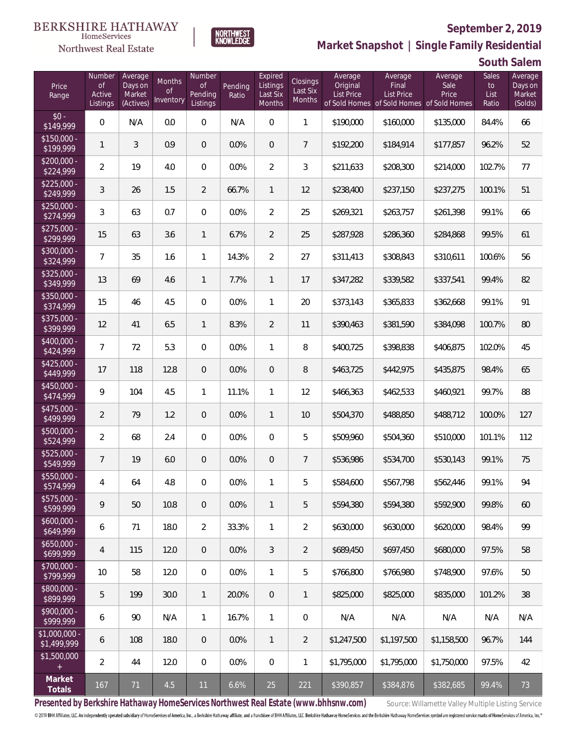#### **BERKSHIRE HATHAWAY** HomeServices

## Northwest Real Estate



## **September 2, 2019**

**Market Snapshot | Single Family Residential**

**South Salem**

| Price<br>Range                | Number<br>of<br>Active<br>Listings | Average<br>Days on<br>Market<br>(Actives) | <b>Months</b><br>Οf<br>Inventory | <b>Number</b><br><b>of</b><br>Pending<br>Listings | Pending<br>Ratio | Expired<br>Listings<br>Last Six<br>Months | Closings<br>Last Six<br>Months | Average<br>Original<br><b>List Price</b><br>of Sold Homes | Average<br>Final<br><b>List Price</b><br>of Sold Homes | Average<br>Sale<br>Price<br>of Sold Homes | <b>Sales</b><br>to<br>List<br>Ratio | Average<br>Days on<br>Market<br>(Solds) |
|-------------------------------|------------------------------------|-------------------------------------------|----------------------------------|---------------------------------------------------|------------------|-------------------------------------------|--------------------------------|-----------------------------------------------------------|--------------------------------------------------------|-------------------------------------------|-------------------------------------|-----------------------------------------|
| $$0 -$<br>\$149,999           | $\overline{0}$                     | N/A                                       | 0.0                              | $\overline{0}$                                    | N/A              | $\overline{0}$                            | $\mathbf{1}$                   | \$190,000                                                 | \$160,000                                              | \$135,000                                 | 84.4%                               | 66                                      |
| $$150,000 -$<br>\$199,999     | 1                                  | 3                                         | 0.9                              | $\overline{0}$                                    | 0.0%             | $\overline{0}$                            | $\overline{7}$                 | \$192,200                                                 | \$184,914                                              | \$177,857                                 | 96.2%                               | 52                                      |
| $$200,000 -$<br>\$224,999     | $\overline{2}$                     | 19                                        | 4.0                              | $\overline{0}$                                    | 0.0%             | $\overline{2}$                            | 3                              | \$211,633                                                 | \$208,300                                              | \$214,000                                 | 102.7%                              | 77                                      |
| $$225,000 -$<br>\$249,999     | 3                                  | 26                                        | 1.5                              | $\overline{2}$                                    | 66.7%            | $\mathbf{1}$                              | 12                             | \$238,400                                                 | \$237,150                                              | \$237,275                                 | 100.1%                              | 51                                      |
| $$250,000 -$<br>\$274,999     | 3                                  | 63                                        | 0.7                              | $\overline{0}$                                    | 0.0%             | $\overline{2}$                            | 25                             | \$269,321                                                 | \$263,757                                              | \$261,398                                 | 99.1%                               | 66                                      |
| $$275,000 -$<br>\$299,999     | 15                                 | 63                                        | 3.6                              | $\mathbf{1}$                                      | 6.7%             | $\overline{2}$                            | 25                             | \$287,928                                                 | \$286,360                                              | \$284,868                                 | 99.5%                               | 61                                      |
| $$300,000 -$<br>\$324,999     | $\overline{7}$                     | 35                                        | 1.6                              | $\mathbf{1}$                                      | 14.3%            | $\overline{2}$                            | 27                             | \$311,413                                                 | \$308,843                                              | \$310,611                                 | 100.6%                              | 56                                      |
| $$325,000 -$<br>\$349,999     | 13                                 | 69                                        | 4.6                              | $\mathbf{1}$                                      | 7.7%             | $\mathbf{1}$                              | 17                             | \$347,282                                                 | \$339,582                                              | \$337,541                                 | 99.4%                               | 82                                      |
| $$350,000 -$<br>\$374,999     | 15                                 | 46                                        | 4.5                              | $\overline{0}$                                    | 0.0%             | $\mathbf{1}$                              | 20                             | \$373,143                                                 | \$365,833                                              | \$362,668                                 | 99.1%                               | 91                                      |
| $$375,000 -$<br>\$399,999     | 12                                 | 41                                        | 6.5                              | $\mathbf{1}$                                      | 8.3%             | $\overline{2}$                            | 11                             | \$390,463                                                 | \$381,590                                              | \$384,098                                 | 100.7%                              | 80                                      |
| $$400,000 -$<br>\$424,999     | 7                                  | 72                                        | 5.3                              | $\overline{0}$                                    | 0.0%             | $\mathbf{1}$                              | 8                              | \$400,725                                                 | \$398,838                                              | \$406,875                                 | 102.0%                              | 45                                      |
| $$425,000 -$<br>\$449,999     | 17                                 | 118                                       | 12.8                             | $\overline{0}$                                    | 0.0%             | $\overline{0}$                            | $\, 8$                         | \$463,725                                                 | \$442,975                                              | \$435,875                                 | 98.4%                               | 65                                      |
| $$450,000 -$<br>\$474,999     | 9                                  | 104                                       | 4.5                              | $\mathbf{1}$                                      | 11.1%            | $\mathbf{1}$                              | 12                             | \$466,363                                                 | \$462,533                                              | \$460,921                                 | 99.7%                               | 88                                      |
| $$475,000 -$<br>\$499,999     | $\overline{2}$                     | 79                                        | 1.2                              | $\overline{0}$                                    | 0.0%             | $\mathbf{1}$                              | 10                             | \$504,370                                                 | \$488,850                                              | \$488,712                                 | 100.0%                              | 127                                     |
| $$500,000 -$<br>\$524,999     | $\overline{2}$                     | 68                                        | 2.4                              | $\overline{0}$                                    | 0.0%             | $\overline{0}$                            | 5                              | \$509,960                                                 | \$504,360                                              | \$510,000                                 | 101.1%                              | 112                                     |
| $$525,000 -$<br>\$549,999     | $\overline{7}$                     | 19                                        | 6.0                              | $\overline{0}$                                    | 0.0%             | $\overline{0}$                            | $\overline{7}$                 | \$536,986                                                 | \$534,700                                              | \$530,143                                 | 99.1%                               | 75                                      |
| $$550,000 -$<br>\$574,999     | 4                                  | 64                                        | 4.8                              | $\overline{0}$                                    | 0.0%             | $\mathbf{1}$                              | 5                              | \$584,600                                                 | \$567,798                                              | \$562,446                                 | 99.1%                               | 94                                      |
| $$575,000 -$<br>\$599,999     | 9                                  | 50                                        | 10.8                             | $\overline{0}$                                    | 0.0%             | $\mathbf{1}$                              | 5                              | \$594,380                                                 | \$594,380                                              | \$592.900                                 | 99.8%                               | 60                                      |
| $$600,000 -$<br>\$649,999     | 6                                  | 71                                        | 18.0                             | $\overline{2}$                                    | 33.3%            | $\mathbf{1}$                              | $\overline{2}$                 | \$630,000                                                 | \$630,000                                              | \$620,000                                 | 98.4%                               | 99                                      |
| $$650,000 -$<br>\$699,999     | $\overline{4}$                     | 115                                       | 12.0                             | $\overline{0}$                                    | 0.0%             | 3                                         | $\overline{2}$                 | \$689,450                                                 | \$697,450                                              | \$680,000                                 | 97.5%                               | 58                                      |
| $$700,000 -$<br>\$799,999     | 10                                 | 58                                        | 12.0                             | $\boldsymbol{0}$                                  | 0.0%             | $\mathbf{1}$                              | 5                              | \$766,800                                                 | \$766,980                                              | \$748,900                                 | 97.6%                               | 50                                      |
| $$800,000 -$<br>\$899,999     | 5                                  | 199                                       | 30.0                             | $\mathbf{1}$                                      | 20.0%            | $\overline{0}$                            | $\mathbf{1}$                   | \$825,000                                                 | \$825,000                                              | \$835,000                                 | 101.2%                              | 38                                      |
| \$900,000 -<br>\$999,999      | 6                                  | 90                                        | N/A                              | $\mathbf{1}$                                      | 16.7%            | $\mathbf{1}$                              | $\mathbf 0$                    | N/A                                                       | N/A                                                    | N/A                                       | N/A                                 | N/A                                     |
| $$1,000,000 -$<br>\$1,499,999 | 6                                  | 108                                       | 18.0                             | $\overline{0}$                                    | 0.0%             | $\overline{1}$                            | $\overline{2}$                 | \$1,247,500                                               | \$1,197,500                                            | \$1,158,500                               | 96.7%                               | 144                                     |
| \$1,500,000<br>$+$            | $\overline{2}$                     | 44                                        | 12.0                             | $\mathbf 0$                                       | 0.0%             | 0                                         | $\mathbf{1}$                   | \$1,795,000                                               | \$1,795,000                                            | \$1,750,000                               | 97.5%                               | 42                                      |
| Market<br>Totals              | 167                                | 71                                        | 4.5                              | 11                                                | 6.6%             | 25                                        | 221                            | \$390,857                                                 | \$384,876                                              | \$382,685                                 | 99.4%                               | 73                                      |

Presented by Berkshire Hathaway HomeServices Northwest Real Estate (www.bhhsnw.com) source: Willamette Valley Multiple Listing Service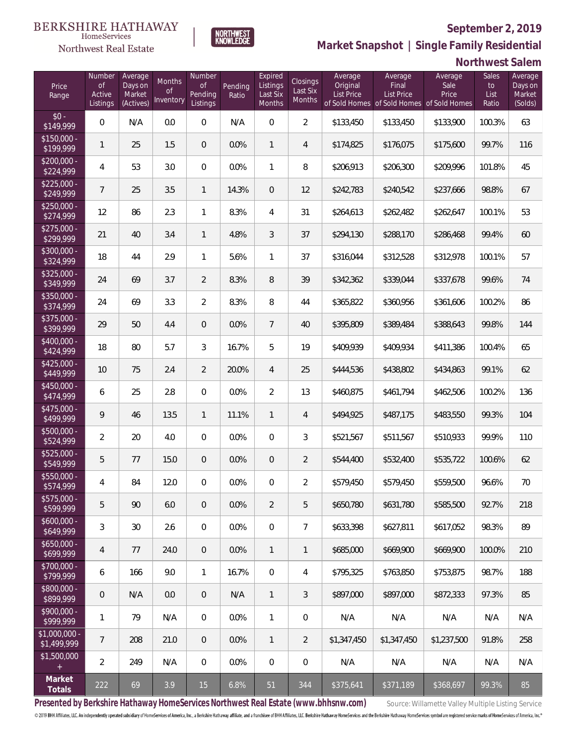

NORTHWEST<br>KNOWLEDGE

Northwest Real Estate

**Market Snapshot | Single Family Residential**

## **Northwest Salem**

| Price<br>Range                    | Number<br>of<br>Active<br>Listings | Average<br>Days on<br>Market<br>(Actives) | Months<br>Οf<br>Inventory | Number<br>Οf<br>Pending<br>Listings | Pending<br>Ratio | Expired<br>Listings<br>Last Six<br>Months | Closings<br>Last Six<br>Months | Average<br>Original<br><b>List Price</b> | Average<br>Final<br><b>List Price</b><br>of Sold Homes of Sold Homes of Sold Homes | Average<br>Sale<br>Price | Sales<br>to<br>List<br>Ratio | Average<br>Days on<br>Market<br>(Solds) |
|-----------------------------------|------------------------------------|-------------------------------------------|---------------------------|-------------------------------------|------------------|-------------------------------------------|--------------------------------|------------------------------------------|------------------------------------------------------------------------------------|--------------------------|------------------------------|-----------------------------------------|
| $$0 -$<br>\$149,999               | $\overline{0}$                     | N/A                                       | 0.0                       | $\overline{0}$                      | N/A              | $\Omega$                                  | $\overline{2}$                 | \$133,450                                | \$133,450                                                                          | \$133,900                | 100.3%                       | 63                                      |
| $$150,000 -$<br>$\sqrt{$199,999}$ | $\mathbf{1}$                       | 25                                        | 1.5                       | $\overline{0}$                      | 0.0%             | $\mathbf{1}$                              | $\overline{4}$                 | \$174,825                                | \$176,075                                                                          | \$175,600                | 99.7%                        | 116                                     |
| $$200,000 -$<br>\$224,999         | 4                                  | 53                                        | 3.0                       | $\overline{0}$                      | 0.0%             | $\mathbf{1}$                              | 8                              | \$206,913                                | \$206,300                                                                          | \$209,996                | 101.8%                       | 45                                      |
| $$225,000 -$<br>\$249,999         | $\overline{7}$                     | 25                                        | 3.5                       | $\mathbf{1}$                        | 14.3%            | $\overline{0}$                            | 12                             | \$242,783                                | \$240,542                                                                          | \$237,666                | 98.8%                        | 67                                      |
| $$250,000 -$<br>\$274,999         | 12                                 | 86                                        | 2.3                       | $\mathbf{1}$                        | 8.3%             | 4                                         | 31                             | \$264,613                                | \$262,482                                                                          | \$262,647                | 100.1%                       | 53                                      |
| $$275,000 -$<br>\$299,999         | 21                                 | 40                                        | 3.4                       | $\mathbf{1}$                        | 4.8%             | 3                                         | 37                             | \$294,130                                | \$288,170                                                                          | \$286,468                | 99.4%                        | 60                                      |
| $$300,000 -$<br>\$324,999         | 18                                 | 44                                        | 2.9                       | $\mathbf{1}$                        | 5.6%             | $\mathbf{1}$                              | 37                             | \$316,044                                | \$312,528                                                                          | \$312,978                | 100.1%                       | 57                                      |
| $$325,000 -$<br>\$349,999         | 24                                 | 69                                        | 3.7                       | $\overline{2}$                      | 8.3%             | 8                                         | 39                             | \$342,362                                | \$339,044                                                                          | \$337,678                | 99.6%                        | 74                                      |
| $$350,000 -$<br>\$374,999         | 24                                 | 69                                        | 3.3                       | $\overline{2}$                      | 8.3%             | 8                                         | 44                             | \$365,822                                | \$360,956                                                                          | \$361,606                | 100.2%                       | 86                                      |
| $$375,000 -$<br>\$399,999         | 29                                 | 50                                        | 4.4                       | $\overline{0}$                      | 0.0%             | $7\overline{ }$                           | 40                             | \$395,809                                | \$389,484                                                                          | \$388,643                | 99.8%                        | 144                                     |
| $$400,000 -$<br>\$424,999         | 18                                 | 80                                        | 5.7                       | 3                                   | 16.7%            | 5                                         | 19                             | \$409,939                                | \$409,934                                                                          | \$411,386                | 100.4%                       | 65                                      |
| $$425,000 -$<br>\$449,999         | 10                                 | 75                                        | 2.4                       | $\overline{2}$                      | 20.0%            | $\overline{4}$                            | 25                             | \$444,536                                | \$438,802                                                                          | \$434,863                | 99.1%                        | 62                                      |
| $$450,000 -$<br>\$474,999         | 6                                  | 25                                        | 2.8                       | $\overline{0}$                      | 0.0%             | $\overline{2}$                            | 13                             | \$460,875                                | \$461,794                                                                          | \$462,506                | 100.2%                       | 136                                     |
| $$475,000 -$<br>\$499,999         | 9                                  | 46                                        | 13.5                      | $\mathbf{1}$                        | 11.1%            | $\mathbf{1}$                              | $\overline{4}$                 | \$494,925                                | \$487,175                                                                          | \$483,550                | 99.3%                        | 104                                     |
| $$500,000 -$<br>\$524,999         | $\overline{2}$                     | 20                                        | 4.0                       | $\overline{0}$                      | 0.0%             | $\overline{0}$                            | 3                              | \$521,567                                | \$511,567                                                                          | \$510,933                | 99.9%                        | 110                                     |
| \$525,000 -<br>\$549,999          | 5                                  | 77                                        | 15.0                      | $\overline{0}$                      | 0.0%             | $\overline{0}$                            | $\overline{2}$                 | \$544,400                                | \$532,400                                                                          | \$535,722                | 100.6%                       | 62                                      |
| $$550,000 -$<br>\$574,999         | 4                                  | 84                                        | 12.0                      | $\overline{0}$                      | 0.0%             | $\overline{0}$                            | $\overline{2}$                 | \$579,450                                | \$579,450                                                                          | \$559,500                | 96.6%                        | 70                                      |
| $$575,000 -$<br>\$599,999         | 5                                  | 90                                        | 6.0                       | $\overline{0}$                      | 0.0%             | $\overline{2}$                            | 5                              | \$650,780                                | \$631,780                                                                          | \$585,500                | 92.7%                        | 218                                     |
| $$600,000 -$<br>\$649,999         | 3                                  | 30                                        | 2.6                       | $\mathbf 0$                         | 0.0%             | $\overline{0}$                            | $\overline{7}$                 | \$633,398                                | \$627,811                                                                          | \$617,052                | 98.3%                        | 89                                      |
| $$650,000 -$<br>\$699,999         | 4                                  | 77                                        | 24.0                      | $\overline{0}$                      | 0.0%             | $\mathbf{1}$                              | $\mathbf{1}$                   | \$685,000                                | \$669,900                                                                          | \$669,900                | 100.0%                       | 210                                     |
| $$700,000 -$<br>\$799,999         | 6                                  | 166                                       | 9.0                       | $\mathbf{1}$                        | 16.7%            | $\mathbf 0$                               | 4                              | \$795,325                                | \$763,850                                                                          | \$753,875                | 98.7%                        | 188                                     |
| $$800,000 -$<br>\$899,999         | $\mathbf 0$                        | N/A                                       | 0.0                       | $\overline{0}$                      | N/A              | $\mathbf{1}$                              | $\mathfrak{Z}$                 | \$897,000                                | \$897,000                                                                          | \$872,333                | 97.3%                        | 85                                      |
| \$900,000 -<br>\$999,999          | 1                                  | 79                                        | N/A                       | $\mathbf 0$                         | 0.0%             | $\mathbf{1}$                              | $\mathbf 0$                    | N/A                                      | N/A                                                                                | N/A                      | N/A                          | N/A                                     |
| $$1,000,000 -$<br>\$1,499,999     | 7                                  | 208                                       | 21.0                      | $\overline{0}$                      | 0.0%             | $\mathbf{1}$                              | $\overline{2}$                 | \$1,347,450                              | \$1,347,450                                                                        | \$1,237,500              | 91.8%                        | 258                                     |
| \$1,500,000<br>$+$                | $\overline{2}$                     | 249                                       | N/A                       | $\mathbf 0$                         | 0.0%             | $\mathbf 0$                               | $\mathbf 0$                    | N/A                                      | N/A                                                                                | N/A                      | N/A                          | N/A                                     |
| Market<br>Totals                  | 222                                | 69                                        | 3.9                       | 15                                  | 6.8%             | 51                                        | 344                            | \$375,641                                | \$371,189                                                                          | \$368,697                | 99.3%                        | 85                                      |

Presented by Berkshire Hathaway HomeServices Northwest Real Estate (www.bhhsnw.com) source: Willamette Valley Multiple Listing Service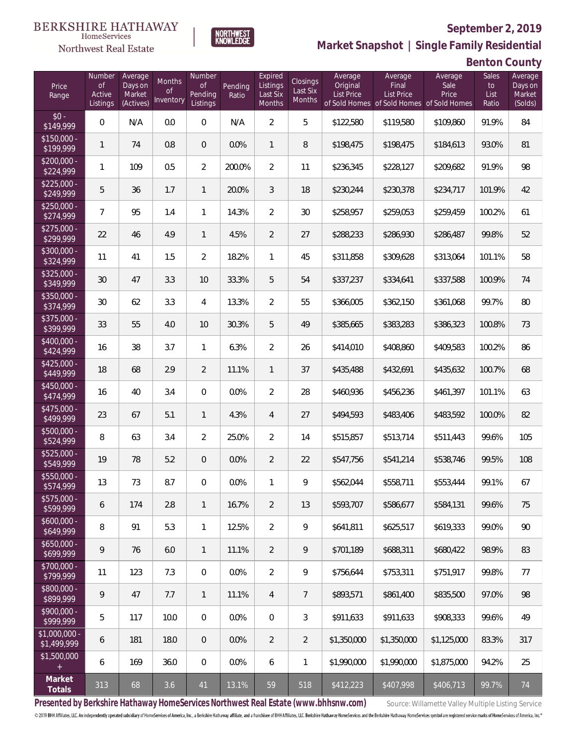

HomeServices

**Market Snapshot | Single Family Residential**

## **Benton County**

| Price<br>Range                | Number<br>of<br>Active<br>Listings | Average<br>Days on<br>Market<br>(Actives) | <b>Months</b><br>Οf<br>Inventory | Number<br><b>of</b><br>Pending<br>Listings | Pending<br>Ratio | Expired<br>Listings<br>Last Six<br>Months | <b>Closings</b><br>Last Six<br>Months | Average<br>Original<br><b>List Price</b> | Average<br>Final<br><b>List Price</b><br>of Sold Homes of Sold Homes of Sold Homes | Average<br>Sale<br>Price | Sales<br>to<br>List<br>Ratio | Average<br>Days on<br>Market<br>(Solds) |
|-------------------------------|------------------------------------|-------------------------------------------|----------------------------------|--------------------------------------------|------------------|-------------------------------------------|---------------------------------------|------------------------------------------|------------------------------------------------------------------------------------|--------------------------|------------------------------|-----------------------------------------|
| $$0 -$<br>\$149,999           | $\overline{0}$                     | N/A                                       | 0.0                              | $\Omega$                                   | N/A              | $\overline{2}$                            | 5                                     | \$122,580                                | \$119,580                                                                          | \$109,860                | 91.9%                        | 84                                      |
| $$150,000 -$<br>\$199,999     | 1                                  | 74                                        | 0.8                              | $\overline{0}$                             | 0.0%             | $\mathbf{1}$                              | 8                                     | \$198,475                                | \$198,475                                                                          | \$184,613                | 93.0%                        | 81                                      |
| $$200,000 -$<br>\$224,999     | 1                                  | 109                                       | 0.5                              | $\overline{2}$                             | 200.0%           | $\overline{2}$                            | 11                                    | \$236,345                                | \$228,127                                                                          | \$209,682                | 91.9%                        | 98                                      |
| $$225,000 -$<br>\$249,999     | 5                                  | 36                                        | 1.7                              | $\mathbf{1}$                               | 20.0%            | 3                                         | 18                                    | \$230,244                                | \$230,378                                                                          | \$234,717                | 101.9%                       | 42                                      |
| $$250,000 -$<br>\$274,999     | 7                                  | 95                                        | 1.4                              | $\mathbf{1}$                               | 14.3%            | $\overline{2}$                            | 30                                    | \$258,957                                | \$259,053                                                                          | \$259,459                | 100.2%                       | 61                                      |
| $$275,000 -$<br>\$299,999     | 22                                 | 46                                        | 4.9                              | $\mathbf{1}$                               | 4.5%             | $\overline{2}$                            | 27                                    | \$288,233                                | \$286,930                                                                          | \$286,487                | 99.8%                        | 52                                      |
| $$300,000 -$<br>\$324,999     | 11                                 | 41                                        | 1.5                              | $\overline{2}$                             | 18.2%            | $\mathbf{1}$                              | 45                                    | \$311,858                                | \$309,628                                                                          | \$313,064                | 101.1%                       | 58                                      |
| $$325,000 -$<br>\$349,999     | 30                                 | 47                                        | 3.3                              | 10                                         | 33.3%            | 5                                         | 54                                    | \$337,237                                | \$334,641                                                                          | \$337,588                | 100.9%                       | 74                                      |
| $$350,000 -$<br>\$374,999     | 30                                 | 62                                        | 3.3                              | $\overline{4}$                             | 13.3%            | $\overline{2}$                            | 55                                    | \$366,005                                | \$362,150                                                                          | \$361,068                | 99.7%                        | 80                                      |
| $$375,000 -$<br>\$399,999     | 33                                 | 55                                        | 4.0                              | 10                                         | 30.3%            | 5                                         | 49                                    | \$385,665                                | \$383,283                                                                          | \$386,323                | 100.8%                       | 73                                      |
| $$400,000 -$<br>\$424,999     | 16                                 | 38                                        | 3.7                              | $\mathbf{1}$                               | 6.3%             | $\overline{2}$                            | 26                                    | \$414,010                                | \$408,860                                                                          | \$409,583                | 100.2%                       | 86                                      |
| $$425,000 -$<br>\$449,999     | 18                                 | 68                                        | 2.9                              | $\overline{2}$                             | 11.1%            | $\mathbf{1}$                              | 37                                    | \$435,488                                | \$432,691                                                                          | \$435,632                | 100.7%                       | 68                                      |
| $$450,000 -$<br>\$474,999     | 16                                 | 40                                        | 3.4                              | $\overline{0}$                             | 0.0%             | $\overline{2}$                            | 28                                    | \$460,936                                | \$456,236                                                                          | \$461,397                | 101.1%                       | 63                                      |
| $$475,000 -$<br>\$499,999     | 23                                 | 67                                        | 5.1                              | $\mathbf{1}$                               | 4.3%             | $\overline{4}$                            | 27                                    | \$494,593                                | \$483,406                                                                          | \$483,592                | 100.0%                       | 82                                      |
| \$500,000 -<br>\$524,999      | 8                                  | 63                                        | 3.4                              | $\overline{2}$                             | 25.0%            | $\overline{2}$                            | 14                                    | \$515,857                                | \$513,714                                                                          | \$511,443                | 99.6%                        | 105                                     |
| \$525,000 -<br>\$549,999      | 19                                 | 78                                        | 5.2                              | $\overline{0}$                             | 0.0%             | $\overline{2}$                            | 22                                    | \$547,756                                | \$541,214                                                                          | \$538,746                | 99.5%                        | 108                                     |
| \$550,000 -<br>\$574,999      | 13                                 | 73                                        | 8.7                              | $\overline{0}$                             | 0.0%             | 1                                         | 9                                     | \$562,044                                | \$558,711                                                                          | \$553,444                | 99.1%                        | 67                                      |
| $$575,000 -$<br>\$599,999     | 6                                  | 174                                       | 2.8                              | $\mathbf{1}$                               | 16.7%            | $\overline{2}$                            | 13                                    | \$593,707                                | \$586,677                                                                          | \$584,131                | 99.6%                        | 75                                      |
| $$600,000 -$<br>\$649,999     | 8                                  | 91                                        | 5.3                              | $\mathbf{1}$                               | 12.5%            | $\overline{2}$                            | 9                                     | \$641,811                                | \$625,517                                                                          | \$619,333                | 99.0%                        | 90                                      |
| $$650,000 -$<br>\$699,999     | 9                                  | 76                                        | 6.0                              | $\overline{1}$                             | 11.1%            | $\overline{2}$                            | 9                                     | \$701,189                                | \$688,311                                                                          | \$680,422                | 98.9%                        | 83                                      |
| $$700,000 -$<br>\$799,999     | 11                                 | 123                                       | 7.3                              | $\overline{0}$                             | 0.0%             | $\overline{2}$                            | 9                                     | \$756,644                                | \$753,311                                                                          | \$751,917                | 99.8%                        | 77                                      |
| $$800,000 -$<br>\$899,999     | 9                                  | 47                                        | 7.7                              | $\overline{1}$                             | 11.1%            | $\overline{4}$                            | 7                                     | \$893,571                                | \$861,400                                                                          | \$835,500                | 97.0%                        | 98                                      |
| $$900,000 -$<br>\$999,999     | 5                                  | 117                                       | 10.0                             | $\mathbf 0$                                | 0.0%             | $\overline{0}$                            | 3                                     | \$911,633                                | \$911,633                                                                          | \$908,333                | 99.6%                        | 49                                      |
| $$1,000,000 -$<br>\$1,499,999 | 6                                  | 181                                       | 18.0                             | $\overline{0}$                             | 0.0%             | $\overline{2}$                            | $\overline{2}$                        | \$1,350,000                              | \$1,350,000                                                                        | \$1,125,000              | 83.3%                        | 317                                     |
| \$1,500,000<br>$+$            | 6                                  | 169                                       | 36.0                             | $\boldsymbol{0}$                           | 0.0%             | 6                                         | $\mathbf{1}$                          | \$1,990,000                              | \$1,990,000                                                                        | \$1,875,000              | 94.2%                        | 25                                      |
| Market<br>Totals              | 313                                | 68                                        | 3.6                              | 41                                         | 13.1%            | 59                                        | 518                                   | \$412,223                                | \$407,998                                                                          | \$406,713                | 99.7%                        | 74                                      |

Presented by Berkshire Hathaway HomeServices Northwest Real Estate (www.bhhsnw.com) source: Willamette Valley Multiple Listing Service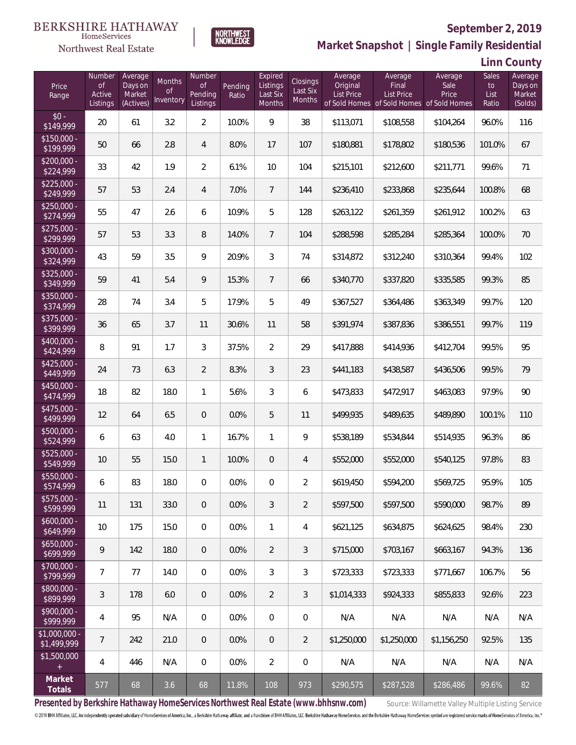## **BERKSHIRE HATHAWAY**

#### HomeServices Northwest Real Estate

### **September 2, 2019**



**Market Snapshot | Single Family Residential**

**Linn County**

| Price<br>Range                   | Number<br><b>of</b><br>Active<br>Listings | Average<br>Days on<br>Market<br>(Actives) | Months<br>0f<br>Inventory | Number<br><b>of</b><br>Pending<br>Listings | Pending<br>Ratio | Expired<br>Listings<br>Last Six<br>Months | Closings<br>Last Six<br>Months | Average<br>Original<br><b>List Price</b> | Average<br>Final<br><b>List Price</b><br>of Sold Homes of Sold Homes | Average<br>Sale<br>Price<br>of Sold Homes | Sales<br>to<br>List<br>Ratio | Average<br>Days on<br>Market<br>(Solds) |
|----------------------------------|-------------------------------------------|-------------------------------------------|---------------------------|--------------------------------------------|------------------|-------------------------------------------|--------------------------------|------------------------------------------|----------------------------------------------------------------------|-------------------------------------------|------------------------------|-----------------------------------------|
| $$0 -$<br>\$149,999              | 20                                        | 61                                        | 3.2                       | $\overline{2}$                             | 10.0%            | 9                                         | 38                             | \$113,071                                | \$108,558                                                            | \$104,264                                 | 96.0%                        | 116                                     |
| $$150,000 -$<br>\$199,999        | 50                                        | 66                                        | 2.8                       | 4                                          | 8.0%             | 17                                        | 107                            | \$180,881                                | \$178,802                                                            | \$180,536                                 | 101.0%                       | 67                                      |
| $$200,000 -$<br>\$224,999        | 33                                        | 42                                        | 1.9                       | $\overline{2}$                             | 6.1%             | 10                                        | 104                            | \$215,101                                | \$212,600                                                            | \$211,771                                 | 99.6%                        | 71                                      |
| $$225,000 -$<br>\$249,999        | 57                                        | 53                                        | 2.4                       | 4                                          | 7.0%             | $7\overline{ }$                           | 144                            | \$236,410                                | \$233,868                                                            | \$235,644                                 | 100.8%                       | 68                                      |
| $$250,000 -$<br>\$274,999        | 55                                        | 47                                        | 2.6                       | 6                                          | 10.9%            | 5                                         | 128                            | \$263,122                                | \$261,359                                                            | \$261,912                                 | 100.2%                       | 63                                      |
| $$275,000 -$<br>\$299,999        | 57                                        | 53                                        | 3.3                       | 8                                          | 14.0%            | $7\overline{ }$                           | 104                            | \$288,598                                | \$285,284                                                            | \$285,364                                 | 100.0%                       | 70                                      |
| $$300,000 -$<br>\$324,999        | 43                                        | 59                                        | 3.5                       | 9                                          | 20.9%            | $\mathfrak{Z}$                            | 74                             | \$314,872                                | \$312,240                                                            | \$310,364                                 | 99.4%                        | 102                                     |
| $$325,000 -$<br>\$349,999        | 59                                        | 41                                        | 5.4                       | 9                                          | 15.3%            | $7\overline{ }$                           | 66                             | \$340,770                                | \$337,820                                                            | \$335,585                                 | 99.3%                        | 85                                      |
| $$350,000 -$<br>\$374,999        | 28                                        | 74                                        | 3.4                       | 5                                          | 17.9%            | 5                                         | 49                             | \$367,527                                | \$364,486                                                            | \$363,349                                 | 99.7%                        | 120                                     |
| $$375,000 -$<br>\$399,999        | 36                                        | 65                                        | 3.7                       | 11                                         | 30.6%            | 11                                        | 58                             | \$391,974                                | \$387,836                                                            | \$386,551                                 | 99.7%                        | 119                                     |
| \$400,000 -<br>\$424,999         | 8                                         | 91                                        | 1.7                       | 3                                          | 37.5%            | $\overline{2}$                            | 29                             | \$417,888                                | \$414,936                                                            | \$412,704                                 | 99.5%                        | 95                                      |
| $$425,000 -$<br>\$449,999        | 24                                        | 73                                        | 6.3                       | $\overline{2}$                             | 8.3%             | 3                                         | 23                             | \$441,183                                | \$438,587                                                            | \$436,506                                 | 99.5%                        | 79                                      |
| $$450,000 -$<br>\$474,999        | 18                                        | 82                                        | 18.0                      | $\mathbf{1}$                               | 5.6%             | 3                                         | 6                              | \$473,833                                | \$472,917                                                            | \$463,083                                 | 97.9%                        | 90                                      |
| \$475,000 -<br>\$499,999         | 12                                        | 64                                        | 6.5                       | $\overline{0}$                             | 0.0%             | 5                                         | 11                             | \$499,935                                | \$489,635                                                            | \$489,890                                 | 100.1%                       | 110                                     |
| $$500,000 -$<br>\$524,999        | 6                                         | 63                                        | 4.0                       | $\mathbf{1}$                               | 16.7%            | $\mathbf{1}$                              | 9                              | \$538,189                                | \$534,844                                                            | \$514,935                                 | 96.3%                        | 86                                      |
| $$525,000 -$<br>\$549,999        | 10                                        | 55                                        | 15.0                      | $\mathbf{1}$                               | 10.0%            | $\overline{0}$                            | $\overline{4}$                 | \$552,000                                | \$552,000                                                            | \$540,125                                 | 97.8%                        | 83                                      |
| \$550,000 -<br>\$574,999         | 6                                         | 83                                        | 18.0                      | 0                                          | 0.0%             | $\overline{0}$                            | $\overline{2}$                 | \$619,450                                | \$594,200                                                            | \$569,725                                 | 95.9%                        | 105                                     |
| $$575,000 -$<br>\$599,999        | 11                                        | 131                                       | 33.0                      | 0                                          | 0.0%             | 3                                         | 2                              | \$597,500                                | \$597,500                                                            | \$590,000                                 | 98.7%                        | 89                                      |
| $$600,000 -$<br>\$649,999        | 10                                        | 175                                       | 15.0                      | $\overline{0}$                             | 0.0%             | $\mathbf{1}$                              | 4                              | \$621,125                                | \$634,875                                                            | \$624,625                                 | 98.4%                        | 230                                     |
| $$650,000 -$<br>5699,999         | 9                                         | 142                                       | 18.0                      | $\overline{0}$                             | 0.0%             | $\overline{2}$                            | 3                              | \$715,000                                | \$703,167                                                            | \$663,167                                 | 94.3%                        | 136                                     |
| \$700,000 -<br>$\sqrt{$799,999}$ | 7                                         | 77                                        | 14.0                      | $\overline{0}$                             | 0.0%             | 3                                         | 3                              | \$723,333                                | \$723,333                                                            | \$771,667                                 | 106.7%                       | 56                                      |
| \$800,000 -<br>\$899,999         | $\sqrt{3}$                                | 178                                       | 6.0                       | $\overline{0}$                             | 0.0%             | $\overline{2}$                            | $\mathfrak{Z}$                 | \$1,014.333                              | \$924,333                                                            | \$855,833                                 | 92.6%                        | 223                                     |
| \$900,000 -<br>\$999,999         | 4                                         | 95                                        | N/A                       | 0                                          | 0.0%             | $\boldsymbol{0}$                          | $\mathbf 0$                    | N/A                                      | N/A                                                                  | N/A                                       | N/A                          | N/A                                     |
| $$1,000,000 -$<br>\$1,499,999    | 7                                         | 242                                       | 21.0                      | $\overline{0}$                             | 0.0%             | $\overline{0}$                            | $\overline{2}$                 | \$1,250,000                              | \$1,250,000                                                          | \$1,156,250                               | 92.5%                        | 135                                     |
| \$1,500,000<br>$+$               | 4                                         | 446                                       | N/A                       | 0                                          | 0.0%             | $\overline{2}$                            | 0                              | N/A                                      | N/A                                                                  | N/A                                       | N/A                          | N/A                                     |
| Market<br>Totals                 | 577                                       | 68                                        | 3.6                       | 68                                         | 11.8%            | 108                                       | 973                            | \$290,575                                | \$287,528                                                            | \$286,486                                 | 99.6%                        | 82                                      |

Presented by Berkshire Hathaway HomeServices Northwest Real Estate (www.bhhsnw.com) source: Willamette Valley Multiple Listing Service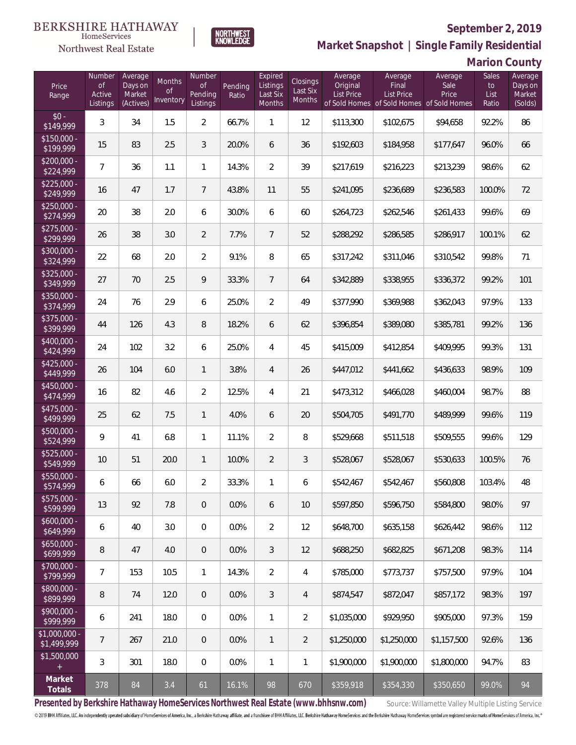

**NORTHWEST**<br>KNOWLEDGE

Northwest Real Estate

**Market Snapshot | Single Family Residential**

**Marion County**

| Price<br>Range                | Number<br><b>of</b><br>Active<br>Listings | Average<br>Days on<br>Market<br>(Actives) | Months<br>Οf<br>Inventory | Number<br><b>of</b><br>Pending<br>Listings | Pending<br>Ratio | Expired<br>Listings<br>Last Six<br>Months | <b>Closings</b><br>Last Six<br>Months | Average<br>Original<br><b>List Price</b> | Average<br>Final<br>List Price<br>of Sold Homes of Sold Homes of Sold Homes | Average<br>Sale<br>Price | Sales<br>to<br>List<br>Ratio | Average<br>Days on<br>Market<br>(Solds) |
|-------------------------------|-------------------------------------------|-------------------------------------------|---------------------------|--------------------------------------------|------------------|-------------------------------------------|---------------------------------------|------------------------------------------|-----------------------------------------------------------------------------|--------------------------|------------------------------|-----------------------------------------|
| $$0 -$<br>\$149,999           | 3                                         | 34                                        | 1.5                       | $\overline{2}$                             | 66.7%            | $\mathbf{1}$                              | 12                                    | \$113,300                                | \$102,675                                                                   | \$94,658                 | 92.2%                        | 86                                      |
| $$150,000 -$<br>\$199,999     | 15                                        | 83                                        | 2.5                       | 3                                          | 20.0%            | 6                                         | 36                                    | \$192,603                                | \$184,958                                                                   | \$177,647                | 96.0%                        | 66                                      |
| $$200,000 -$<br>\$224,999     | $\overline{7}$                            | 36                                        | 1.1                       | $\mathbf{1}$                               | 14.3%            | $\overline{2}$                            | 39                                    | \$217,619                                | \$216,223                                                                   | \$213,239                | 98.6%                        | 62                                      |
| $$225,000 -$<br>\$249,999     | 16                                        | 47                                        | 1.7                       | $7\overline{ }$                            | 43.8%            | 11                                        | 55                                    | \$241,095                                | \$236,689                                                                   | \$236,583                | 100.0%                       | 72                                      |
| $$250,000 -$<br>\$274,999     | 20                                        | 38                                        | 2.0                       | 6                                          | 30.0%            | 6                                         | 60                                    | \$264,723                                | \$262,546                                                                   | \$261,433                | 99.6%                        | 69                                      |
| $$275,000 -$<br>\$299,999     | 26                                        | 38                                        | 3.0                       | $\overline{2}$                             | 7.7%             | $7\overline{ }$                           | 52                                    | \$288,292                                | \$286,585                                                                   | \$286,917                | 100.1%                       | 62                                      |
| \$300,000 -<br>\$324,999      | 22                                        | 68                                        | 2.0                       | $\overline{2}$                             | 9.1%             | 8                                         | 65                                    | \$317,242                                | \$311,046                                                                   | \$310,542                | 99.8%                        | 71                                      |
| $$325,000 -$<br>\$349,999     | 27                                        | 70                                        | 2.5                       | 9                                          | 33.3%            | $7\overline{ }$                           | 64                                    | \$342,889                                | \$338,955                                                                   | \$336,372                | 99.2%                        | 101                                     |
| \$350,000 -<br>\$374,999      | 24                                        | 76                                        | 2.9                       | 6                                          | 25.0%            | $\overline{2}$                            | 49                                    | \$377,990                                | \$369,988                                                                   | \$362,043                | 97.9%                        | 133                                     |
| \$375,000 -<br>\$399,999      | 44                                        | 126                                       | 4.3                       | 8                                          | 18.2%            | 6                                         | 62                                    | \$396,854                                | \$389,080                                                                   | \$385,781                | 99.2%                        | 136                                     |
| \$400,000 -<br>\$424,999      | 24                                        | 102                                       | 3.2                       | 6                                          | 25.0%            | 4                                         | 45                                    | \$415,009                                | \$412,854                                                                   | \$409,995                | 99.3%                        | 131                                     |
| $$425,000 -$<br>\$449,999     | 26                                        | 104                                       | 6.0                       | $\mathbf{1}$                               | 3.8%             | $\overline{4}$                            | 26                                    | \$447,012                                | \$441,662                                                                   | \$436,633                | 98.9%                        | 109                                     |
| $$450,000 -$<br>\$474,999     | 16                                        | 82                                        | 4.6                       | $\overline{2}$                             | 12.5%            | 4                                         | 21                                    | \$473,312                                | \$466,028                                                                   | \$460,004                | 98.7%                        | 88                                      |
| $$475,000 -$<br>\$499,999     | 25                                        | 62                                        | 7.5                       | $\mathbf{1}$                               | 4.0%             | 6                                         | 20                                    | \$504,705                                | \$491,770                                                                   | \$489,999                | 99.6%                        | 119                                     |
| $$500,000 -$<br>\$524,999     | 9                                         | 41                                        | 6.8                       | $\mathbf{1}$                               | 11.1%            | $\overline{2}$                            | $\, 8$                                | \$529,668                                | \$511,518                                                                   | \$509,555                | 99.6%                        | 129                                     |
| $$525,000 -$<br>\$549,999     | 10                                        | 51                                        | 20.0                      | $\mathbf{1}$                               | 10.0%            | $\overline{2}$                            | $\sqrt{3}$                            | \$528,067                                | \$528,067                                                                   | \$530,633                | 100.5%                       | 76                                      |
| \$550,000 -<br>\$574,999      | 6                                         | 66                                        | 6.0                       | $\overline{2}$                             | 33.3%            | $\mathbf{1}$                              | 6                                     | \$542,467                                | \$542,467                                                                   | \$560,808                | 103.4%                       | 48                                      |
| \$575,000 -<br>\$599,999      | 13                                        | 92                                        | 7.8                       | $\theta$                                   | 0.0%             | 6                                         | 10 <sup>°</sup>                       | \$597,850                                | \$596.750                                                                   | \$584,800                | 98.0%                        | 97                                      |
| $$600,000 -$<br>\$649,999     | 6                                         | 40                                        | 3.0                       | $\overline{0}$                             | 0.0%             | $\overline{2}$                            | 12                                    | \$648,700                                | \$635,158                                                                   | \$626,442                | 98.6%                        | 112                                     |
| $$650,000 -$<br>\$699,999     | 8                                         | 47                                        | 4.0                       | $\overline{0}$                             | 0.0%             | 3                                         | 12                                    | \$688,250                                | \$682,825                                                                   | \$671,208                | 98.3%                        | 114                                     |
| $$700,000 -$<br>\$799,999     | 7                                         | 153                                       | 10.5                      | $\mathbf{1}$                               | 14.3%            | $\overline{2}$                            | 4                                     | \$785,000                                | \$773,737                                                                   | \$757,500                | 97.9%                        | 104                                     |
| $$800,000 -$<br>\$899,999     | 8                                         | 74                                        | 12.0                      | $\overline{0}$                             | 0.0%             | 3                                         | 4                                     | \$874,547                                | \$872,047                                                                   | \$857,172                | 98.3%                        | 197                                     |
| $$900,000 -$<br>\$999,999     | 6                                         | 241                                       | 18.0                      | $\overline{0}$                             | 0.0%             | $\mathbf{1}$                              | $\overline{2}$                        | \$1,035,000                              | \$929,950                                                                   | \$905,000                | 97.3%                        | 159                                     |
| $$1,000,000 -$<br>\$1,499,999 | 7                                         | 267                                       | 21.0                      | $\theta$                                   | 0.0%             | $\mathbf{1}$                              | $\overline{2}$                        | \$1,250,000                              | \$1,250,000                                                                 | \$1,157,500              | 92.6%                        | 136                                     |
| \$1,500,000<br>$+$            | 3                                         | 301                                       | 18.0                      | $\mathbf 0$                                | 0.0%             | $\mathbf{1}$                              | 1                                     | \$1,900,000                              | \$1,900,000                                                                 | \$1,800,000              | 94.7%                        | 83                                      |
| Market<br>Totals              | 378                                       | 84                                        | 3.4                       | 61                                         | 16.1%            | 98                                        | 670                                   | \$359,918                                | \$354,330                                                                   | \$350,650                | 99.0%                        | 94                                      |

Presented by Berkshire Hathaway HomeServices Northwest Real Estate (www.bhhsnw.com) source: Willamette Valley Multiple Listing Service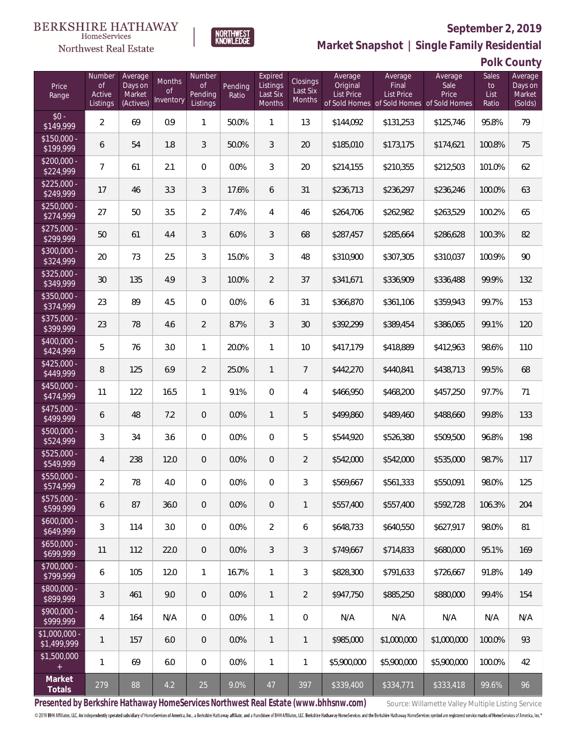#### **BERKSHIRE HATHAWAY** HomeServices

## Northwest Real Estate



## **September 2, 2019**

**Market Snapshot | Single Family Residential**

**Polk County**

| Price<br>Range               | Number<br>of<br>Active<br>Listings | Average<br>Days on<br>Market<br>(Actives) | Months<br>Οf<br>Inventory | Number<br>Οf<br>Pending<br>Listings | Pending<br>Ratio | Expired<br>Listings<br>Last Six<br>Months | Closings<br>Last Six<br><b>Months</b> | Average<br>Original<br><b>List Price</b> | Average<br>Final<br>List Price<br>of Sold Homes of Sold Homes | Average<br>Sale<br>Price<br>of Sold Homes | Sales<br>to<br>List<br>Ratio | Average<br>Days on<br>Market<br>(Solds) |
|------------------------------|------------------------------------|-------------------------------------------|---------------------------|-------------------------------------|------------------|-------------------------------------------|---------------------------------------|------------------------------------------|---------------------------------------------------------------|-------------------------------------------|------------------------------|-----------------------------------------|
| $$0 -$<br>\$149,999          | $\overline{a}$                     | 69                                        | 0.9                       | $\mathbf{1}$                        | 50.0%            | 1                                         | 13                                    | \$144,092                                | \$131,253                                                     | \$125,746                                 | 95.8%                        | 79                                      |
| $$150,000 -$<br>\$199,999    | 6                                  | 54                                        | 1.8                       | 3                                   | 50.0%            | 3                                         | 20                                    | \$185,010                                | \$173,175                                                     | \$174,621                                 | 100.8%                       | 75                                      |
| $$200,000 -$<br>\$224,999    | 7                                  | 61                                        | 2.1                       | $\Omega$                            | 0.0%             | 3                                         | 20                                    | \$214,155                                | \$210,355                                                     | \$212,503                                 | 101.0%                       | 62                                      |
| $$225,000 -$<br>\$249,999    | 17                                 | 46                                        | 3.3                       | 3                                   | 17.6%            | 6                                         | 31                                    | \$236,713                                | \$236,297                                                     | \$236,246                                 | 100.0%                       | 63                                      |
| $$250,000 -$<br>\$274,999    | 27                                 | 50                                        | 3.5                       | $\overline{2}$                      | 7.4%             | 4                                         | 46                                    | \$264,706                                | \$262,982                                                     | \$263,529                                 | 100.2%                       | 65                                      |
| $$275,000 -$<br>\$299,999    | 50                                 | 61                                        | 4.4                       | $\mathfrak{Z}$                      | 6.0%             | 3                                         | 68                                    | \$287,457                                | \$285,664                                                     | \$286,628                                 | 100.3%                       | 82                                      |
| $$300,000 -$<br>\$324,999    | 20                                 | 73                                        | 2.5                       | 3                                   | 15.0%            | 3                                         | 48                                    | \$310,900                                | \$307,305                                                     | \$310,037                                 | 100.9%                       | 90                                      |
| $$325,000 -$<br>\$349,999    | 30                                 | 135                                       | 4.9                       | 3                                   | 10.0%            | 2                                         | 37                                    | \$341,671                                | \$336,909                                                     | \$336,488                                 | 99.9%                        | 132                                     |
| $$350,000 -$<br>\$374,999    | 23                                 | 89                                        | 4.5                       | $\overline{0}$                      | 0.0%             | 6                                         | 31                                    | \$366,870                                | \$361,106                                                     | \$359,943                                 | 99.7%                        | 153                                     |
| $$375,000 -$<br>\$399,999    | 23                                 | 78                                        | 4.6                       | $\overline{2}$                      | 8.7%             | 3                                         | 30                                    | \$392,299                                | \$389,454                                                     | \$386,065                                 | 99.1%                        | 120                                     |
| $$400,000 -$<br>\$424,999    | 5                                  | 76                                        | 3.0                       | $\mathbf{1}$                        | 20.0%            | $\mathbf{1}$                              | 10                                    | \$417,179                                | \$418,889                                                     | \$412,963                                 | 98.6%                        | 110                                     |
| $$425,000 -$<br>\$449,999    | 8                                  | 125                                       | 6.9                       | $\overline{2}$                      | 25.0%            | $\overline{1}$                            | $\overline{7}$                        | \$442,270                                | \$440,841                                                     | \$438,713                                 | 99.5%                        | 68                                      |
| $$450,000 -$<br>\$474,999    | 11                                 | 122                                       | 16.5                      | $\mathbf{1}$                        | 9.1%             | $\overline{0}$                            | 4                                     | \$466,950                                | \$468,200                                                     | \$457,250                                 | 97.7%                        | 71                                      |
| $$475,000 -$<br>\$499,999    | 6                                  | 48                                        | 7.2                       | $\overline{0}$                      | 0.0%             | $\mathbf{1}$                              | 5                                     | \$499,860                                | \$489,460                                                     | \$488,660                                 | 99.8%                        | 133                                     |
| $$500,000 -$<br>\$524,999    | 3                                  | 34                                        | 3.6                       | $\overline{0}$                      | 0.0%             | $\overline{0}$                            | 5                                     | \$544,920                                | \$526,380                                                     | \$509,500                                 | 96.8%                        | 198                                     |
| $$525,000 -$<br>\$549,999    | 4                                  | 238                                       | 12.0                      | $\overline{0}$                      | 0.0%             | $\overline{0}$                            | $\overline{2}$                        | \$542,000                                | \$542,000                                                     | \$535,000                                 | 98.7%                        | 117                                     |
| $$550,000 -$<br>\$574,999    | $\overline{2}$                     | 78                                        | 4.0                       | $\mathbf{0}$                        | 0.0%             | $\overline{0}$                            | 3                                     | \$569,667                                | \$561,333                                                     | \$550,091                                 | 98.0%                        | 125                                     |
| $$575,000 -$<br>\$599,999    | 6                                  | 87                                        | 36.0                      | $\overline{0}$                      | 0.0%             | $\overline{0}$                            | 1                                     | \$557,400                                | \$557,400                                                     | \$592,728                                 | 106.3%                       | 204                                     |
| $$600,000 -$<br>\$649,999    | 3                                  | 114                                       | 3.0                       | $\mathbf 0$                         | 0.0%             | $\overline{2}$                            | 6                                     | \$648,733                                | \$640,550                                                     | \$627,917                                 | 98.0%                        | 81                                      |
| $$650,000 -$<br>\$699,999    | 11                                 | 112                                       | 22.0                      | $\overline{0}$                      | 0.0%             | $\mathfrak{Z}$                            | $\mathfrak{Z}$                        | \$749,667                                | \$714,833                                                     | \$680,000                                 | 95.1%                        | 169                                     |
| $$700,000 -$<br>\$799,999    | 6                                  | 105                                       | 12.0                      | $\mathbf{1}$                        | 16.7%            | $\mathbf{1}$                              | 3                                     | \$828,300                                | \$791,633                                                     | \$726,667                                 | 91.8%                        | 149                                     |
| $$800,000 -$<br>\$899,999    | 3                                  | 461                                       | 9.0                       | $\overline{0}$                      | 0.0%             | $\mathbf{1}$                              | $\overline{2}$                        | \$947,750                                | \$885,250                                                     | \$880,000                                 | 99.4%                        | 154                                     |
| \$900,000 -<br>\$999,999     | 4                                  | 164                                       | N/A                       | $\overline{0}$                      | 0.0%             | $\mathbf{1}$                              | 0                                     | N/A                                      | N/A                                                           | N/A                                       | N/A                          | N/A                                     |
| \$1,000,000 -<br>\$1,499,999 | 1                                  | 157                                       | 6.0                       | $\overline{0}$                      | 0.0%             | $\mathbf{1}$                              | 1                                     | \$985,000                                | \$1,000,000                                                   | \$1,000,000                               | 100.0%                       | 93                                      |
| \$1,500,000<br>$+$           | 1                                  | 69                                        | 6.0                       | $\mathbf 0$                         | 0.0%             | $\mathbf{1}$                              | 1                                     | \$5,900,000                              | \$5,900,000                                                   | \$5,900,000                               | 100.0%                       | 42                                      |
| Market<br>Totals             | 279                                | 88                                        | 4.2                       | 25                                  | 9.0%             | 47                                        | 397                                   | \$339,400                                | \$334,771                                                     | \$333,418                                 | 99.6%                        | 96                                      |

Presented by Berkshire Hathaway HomeServices Northwest Real Estate (www.bhhsnw.com) source: Willamette Valley Multiple Listing Service